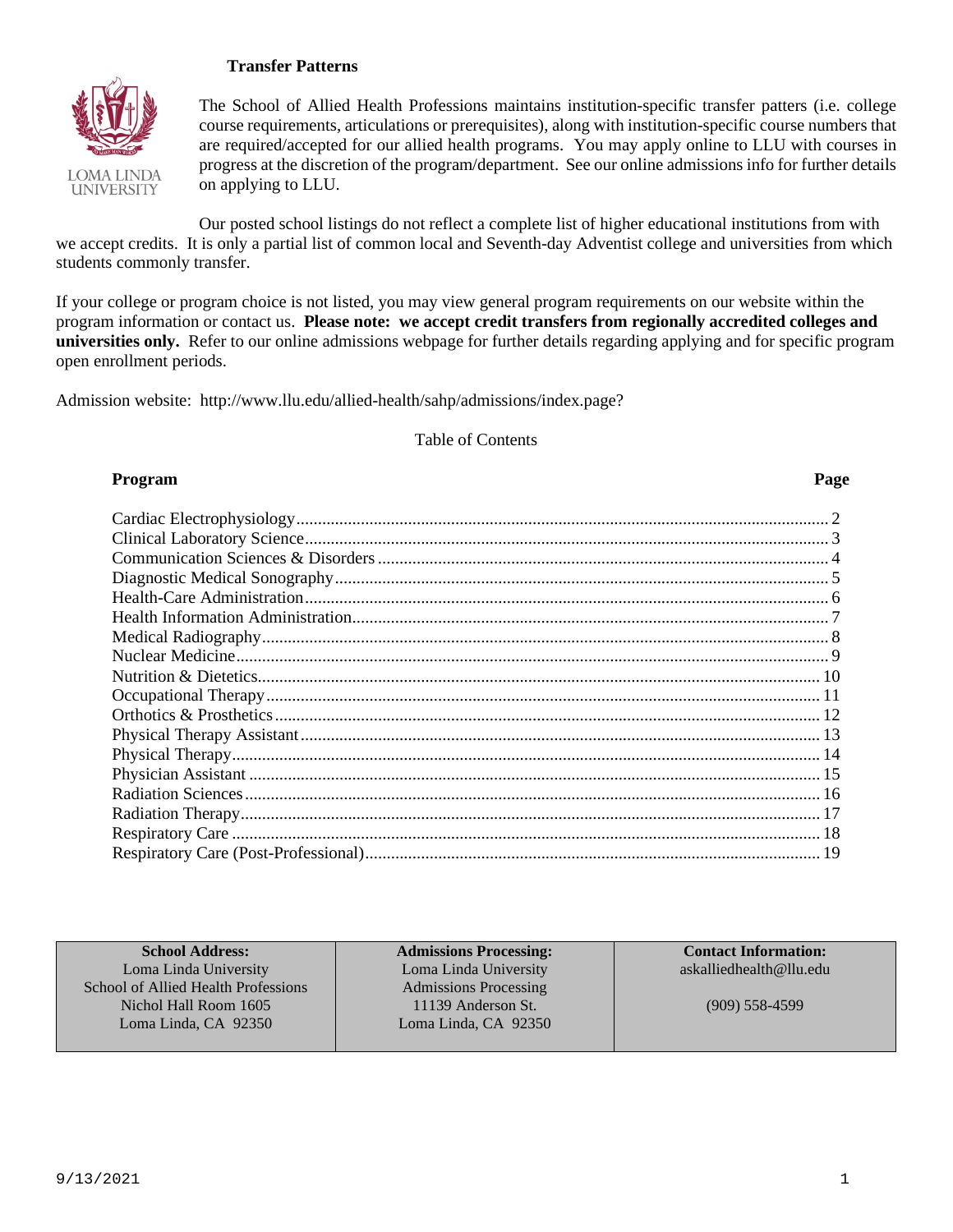### **Transfer Patterns**



The School of Allied Health Professions maintains institution-specific transfer patters (i.e. college course requirements, articulations or prerequisites), along with institution-specific course numbers that are required/accepted for our allied health programs. You may apply online to LLU with courses in progress at the discretion of the program/department. See our online admissions info for further details on applying to LLU.

Our posted school listings do not reflect a complete list of higher educational institutions from with we accept credits. It is only a partial list of common local and Seventh-day Adventist college and universities from which students commonly transfer.

If your college or program choice is not listed, you may view general program requirements on our website within the program information or contact us. **Please note: we accept credit transfers from regionally accredited colleges and universities only.** Refer to our online admissions webpage for further details regarding applying and for specific program open enrollment periods.

Admission website: http://www.llu.edu/allied-health/sahp/admissions/index.page?

Table of Contents

### **Program Page**

| <b>School Address:</b>              | <b>Admissions Processing:</b> | <b>Contact Information:</b> |
|-------------------------------------|-------------------------------|-----------------------------|
| Loma Linda University               | Loma Linda University         | askalliedhealth@llu.edu     |
| School of Allied Health Professions | <b>Admissions Processing</b>  |                             |
| Nichol Hall Room 1605               | 11139 Anderson St.            | $(909)$ 558-4599            |
| Loma Linda, CA 92350                | Loma Linda, CA 92350          |                             |
|                                     |                               |                             |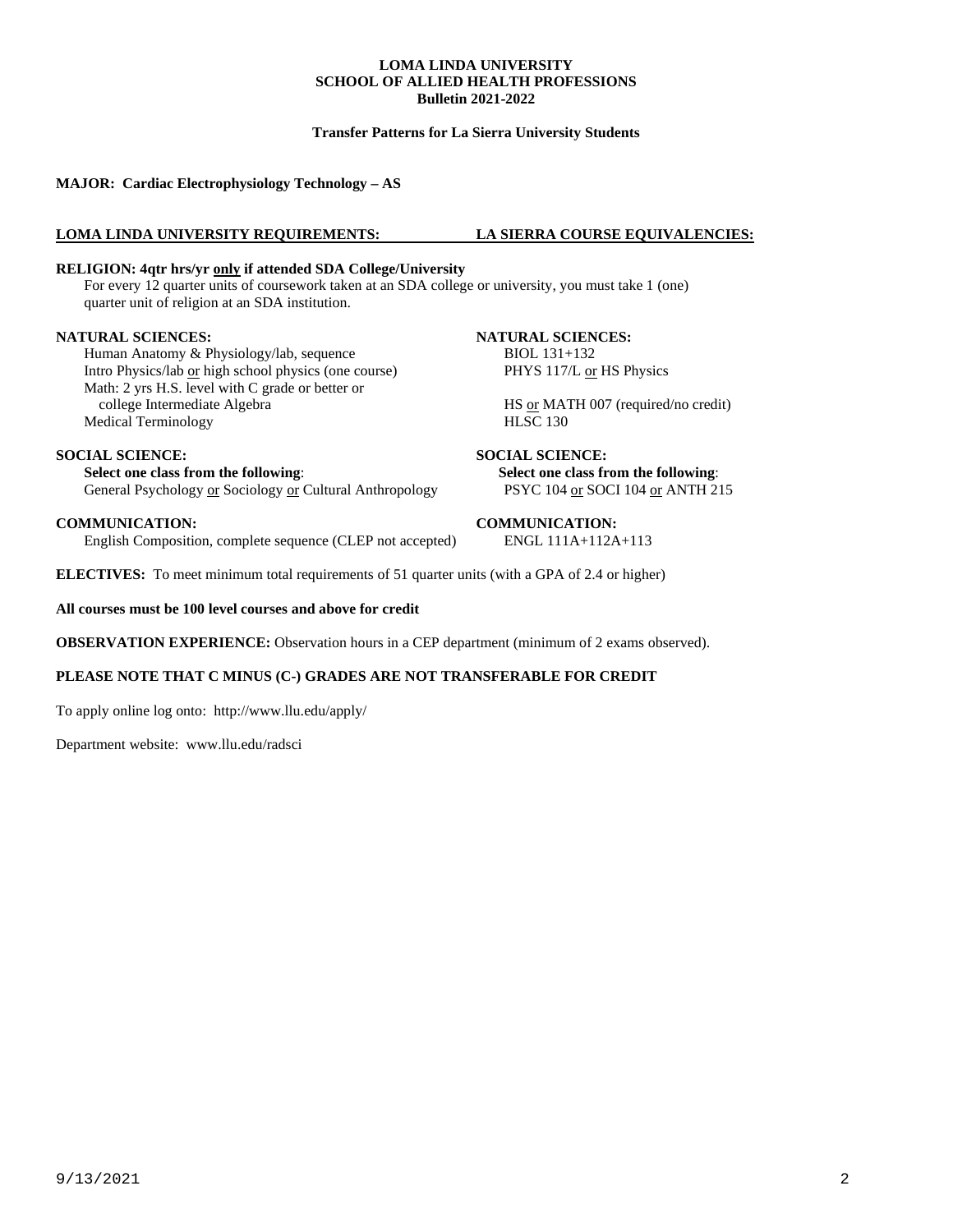**Transfer Patterns for La Sierra University Students**

**MAJOR: Cardiac Electrophysiology Technology – AS**

### **LOMA LINDA UNIVERSITY REQUIREMENTS: LA SIERRA COURSE EQUIVALENCIES:**

### **RELIGION: 4qtr hrs/yr only if attended SDA College/University**

For every 12 quarter units of coursework taken at an SDA college or university, you must take 1 (one) quarter unit of religion at an SDA institution.

#### **NATURAL SCIENCES: NATURAL SCIENCES:**

Human Anatomy & Physiology/lab, sequence BIOL 131+132 Intro Physics/lab or high school physics (one course) PHYS 117/L or HS Physics Math: 2 yrs H.S. level with C grade or better or<br>college Intermediate Algebra Medical Terminology **HLSC 130** 

### **SOCIAL SCIENCE: SOCIAL SCIENCE:**

**Select one class from the following:**<br> **Select one class from the following:**<br> **Select one class from the following:**<br> **Select one class from the following:**<br> **SELECT 104** <u>or</u> SOCI 104 or ANTH 215 General Psychology or Sociology or Cultural Anthropology

#### **COMMUNICATION: COMMUNICATION:**

English Composition, complete sequence (CLEP not accepted) ENGL 111A+112A+113

HS or MATH 007 (required/no credit)

**ELECTIVES:** To meet minimum total requirements of 51 quarter units (with a GPA of 2.4 or higher)

#### **All courses must be 100 level courses and above for credit**

**OBSERVATION EXPERIENCE:** Observation hours in a CEP department (minimum of 2 exams observed).

### **PLEASE NOTE THAT C MINUS (C-) GRADES ARE NOT TRANSFERABLE FOR CREDIT**

To apply online log onto: <http://www.llu.edu/apply/>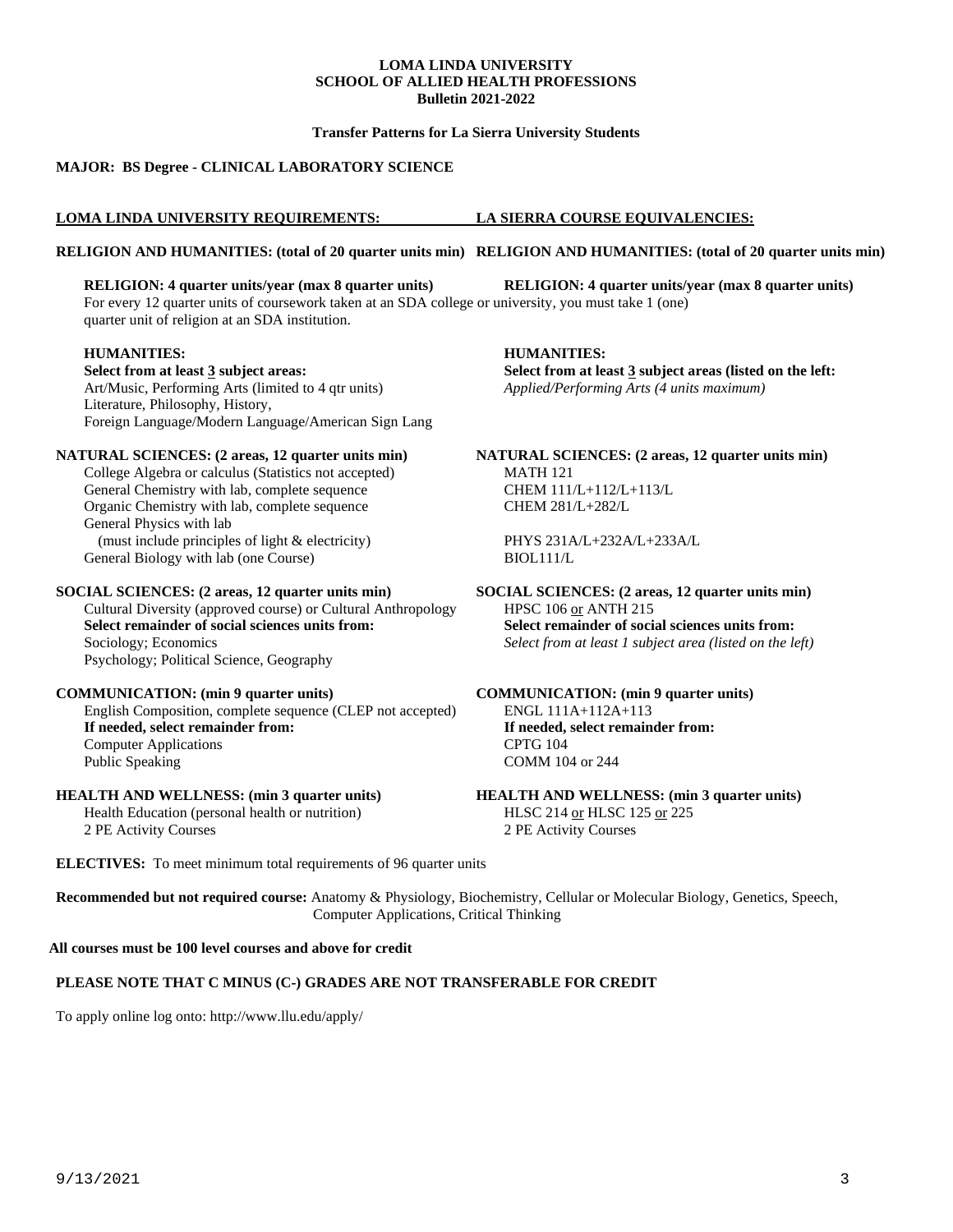#### **Transfer Patterns for La Sierra University Students**

### **MAJOR: BS Degree - CLINICAL LABORATORY SCIENCE**

### **LOMA LINDA UNIVERSITY REQUIREMENTS: LA SIERRA COURSE EQUIVALENCIES:**

#### **RELIGION AND HUMANITIES: (total of 20 quarter units min) RELIGION AND HUMANITIES: (total of 20 quarter units min)**

#### **RELIGION: 4 quarter units/year (max 8 quarter units) RELIGION: 4 quarter units/year (max 8 quarter units)**

For every 12 quarter units of coursework taken at an SDA college or university, you must take 1 (one) quarter unit of religion at an SDA institution.

#### **Select from at least 3 subject areas: Select from at least 3 subject areas (listed on the left:** Art/Music, Performing Arts (limited to 4 qtr units) *Applied/Performing Arts (4 units maximum)* Art/Music, Performing Arts (limited to 4 qtr units) Literature, Philosophy, History, Foreign Language/Modern Language/American Sign Lang

#### **NATURAL SCIENCES: (2 areas, 12 quarter units min) NATURAL SCIENCES: (2 areas, 12 quarter units min)**

College Algebra or calculus (Statistics not accepted) MATH 121<br>
General Chemistry with lab. complete sequence CHEM 111/L+112/L+113/L General Chemistry with lab, complete sequence Organic Chemistry with lab, complete sequence CHEM 281/L+282/L General Physics with lab (must include principles of light & electricity) PHYS 231A/L+232A/L+233A/L General Biology with lab (one Course) BIOL111/L

Cultural Diversity (approved course) or Cultural Anthropology  $HPSC 106 \underline{\text{or}}$  ANTH 215<br>Select remainder of social sciences units from: Select remainder of social sciences units from: **Select remainder of social sciences units from:**<br>Sociology: Economics Psychology; Political Science, Geography

### **COMMUNICATION: (min 9 quarter units) COMMUNICATION: (min 9 quarter units)**

English Composition, complete sequence (CLEP not accepted) ENGL 111A+112A+113<br> **If needed, select remainder from: If needed, select remainder from: If needed, select remainder from: If needed, select remainder from:** Computer Applications CPTG 104<br>
Public Speaking COMM 104 or 244 Public Speaking

Health Education (personal health or nutrition) HLSC 214 or HLSC 125 or 225

**HUMANITIES: HUMANITIES:** 

**SOCIAL SCIENCES: (2 areas, 12 quarter units min) SOCIAL SCIENCES: (2 areas, 12 quarter units min)**  Select from at least 1 subject area (listed on the left)

**HEALTH AND WELLNESS: (min 3 quarter units) HEALTH AND WELLNESS: (min 3 quarter units)**  2 PE Activity Courses 2 PE Activity Courses

**ELECTIVES:** To meet minimum total requirements of 96 quarter units

**Recommended but not required course:** Anatomy & Physiology, Biochemistry, Cellular or Molecular Biology, Genetics, Speech, Computer Applications, Critical Thinking

**All courses must be 100 level courses and above for credit**

#### **PLEASE NOTE THAT C MINUS (C-) GRADES ARE NOT TRANSFERABLE FOR CREDIT**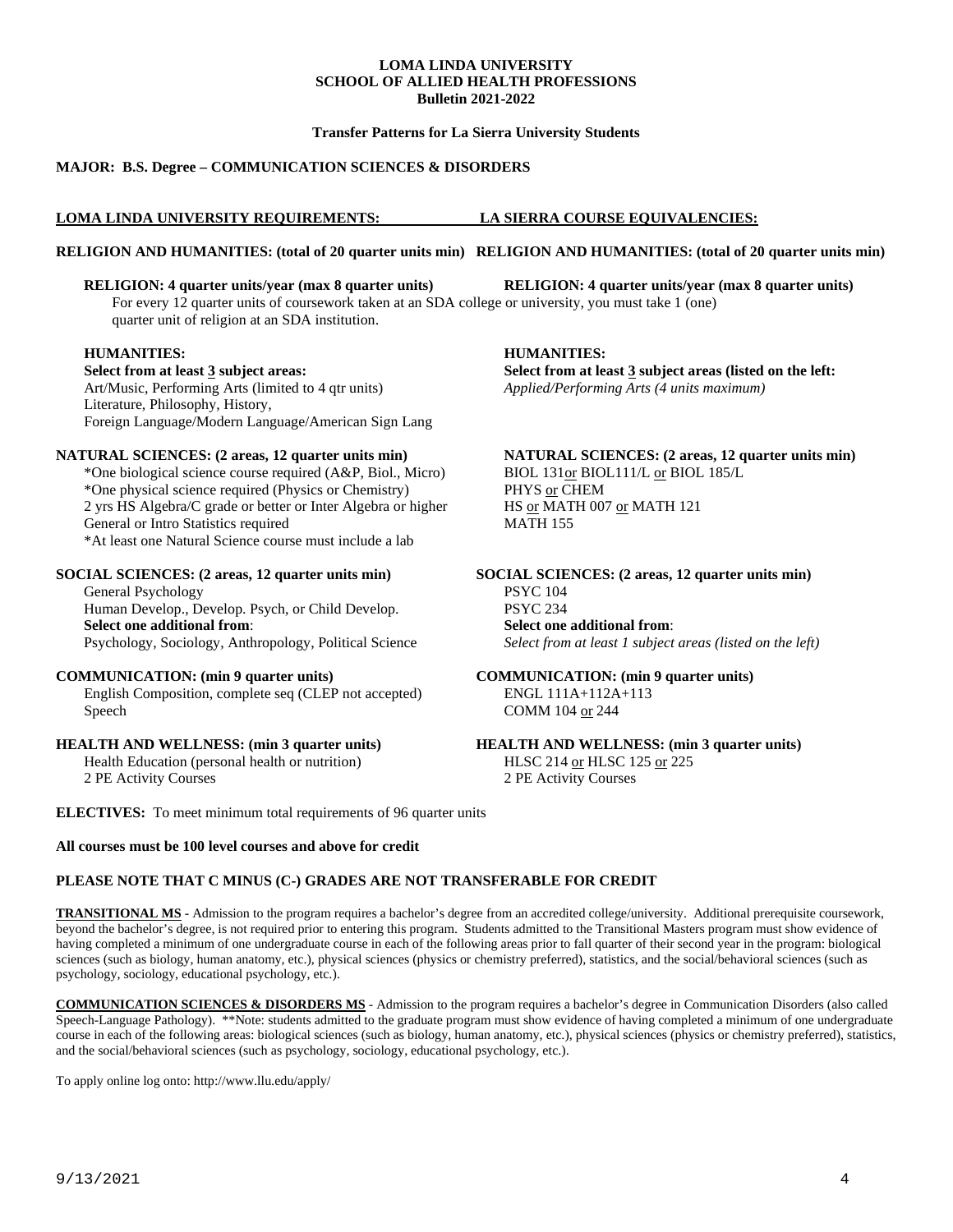#### **Transfer Patterns for La Sierra University Students**

### **MAJOR: B.S. Degree – COMMUNICATION SCIENCES & DISORDERS**

### **LOMA LINDA UNIVERSITY REQUIREMENTS: LA SIERRA COURSE EQUIVALENCIES:**

#### **RELIGION AND HUMANITIES: (total of 20 quarter units min) RELIGION AND HUMANITIES: (total of 20 quarter units min)**

### **RELIGION: 4 quarter units/year (max 8 quarter units) RELIGION: 4 quarter units/year (max 8 quarter units)**

For every 12 quarter units of coursework taken at an SDA college or university, you must take 1 (one) quarter unit of religion at an SDA institution.

Art/Music, Performing Arts (limited to 4 qtr units) *Applied/Performing Arts (4 units maximum)* Literature, Philosophy, History, Foreign Language/Modern Language/American Sign Lang

#### **NATURAL SCIENCES: (2 areas, 12 quarter units min) NATURAL SCIENCES: (2 areas, 12 quarter units min)**

\*One biological science course required (A&P, Biol., Micro) BIOL 131or BIOL111/L or BIOL 185/L \*One physical science required (Physics or Chemistry) PHYS or CHEM 2 yrs HS Algebra/C grade or better or Inter Algebra or higher HS or MATH 007 or MATH 121<br>General or Intro Statistics required MATH 155 General or Intro Statistics required \*At least one Natural Science course must include a lab

General Psychology PSYC 104<br>Human Develop.. Develop. Psych. or Child Develop. 234 Human Develop., Develop. Psych, or Child Develop. **Select one additional from**: **Select one additional from**:

English Composition, complete seq (CLEP not accepted) ENGL 111A+112A+113 Speech COMM 104 or 244

Health Education (personal health or nutrition)

2 PE Activity Courses 2 PE Activity Courses

**ELECTIVES:** To meet minimum total requirements of 96 quarter units

#### **All courses must be 100 level courses and above for credit**

#### **PLEASE NOTE THAT C MINUS (C-) GRADES ARE NOT TRANSFERABLE FOR CREDIT**

**TRANSITIONAL MS** - Admission to the program requires a bachelor's degree from an accredited college/university. Additional prerequisite coursework, beyond the bachelor's degree, is not required prior to entering this program. Students admitted to the Transitional Masters program must show evidence of having completed a minimum of one undergraduate course in each of the following areas prior to fall quarter of their second year in the program: biological sciences (such as biology, human anatomy, etc.), physical sciences (physics or chemistry preferred), statistics, and the social/behavioral sciences (such as psychology, sociology, educational psychology, etc.).

**COMMUNICATION SCIENCES & DISORDERS MS** - Admission to the program requires a bachelor's degree in Communication Disorders (also called Speech-Language Pathology). \*\*Note: students admitted to the graduate program must show evidence of having completed a minimum of one undergraduate course in each of the following areas: biological sciences (such as biology, human anatomy, etc.), physical sciences (physics or chemistry preferred), statistics, and the social/behavioral sciences (such as psychology, sociology, educational psychology, etc.).

To apply online log onto[: http://www.llu.edu/apply/](http://www.llu.edu/apply/)

**HUMANITIES: HUMANITIES:** 

**Select from at least 3 subject areas: Select from at least 3 subject areas (listed on the left:**

**SOCIAL SCIENCES: (2 areas, 12 quarter units min) SOCIAL SCIENCES: (2 areas, 12 quarter units min)** Psychology, Sociology, Anthropology, Political Science *Select from at least 1 subject areas (listed on the left)*

**COMMUNICATION: (min 9 quarter units) COMMUNICATION: (min 9 quarter units)**

**HEALTH AND WELLNESS: (min 3 quarter units)**<br>HEALTH AND WELLNESS: (min 3 quarter units)<br>HESC 214 <u>or</u> HLSC 125 or 225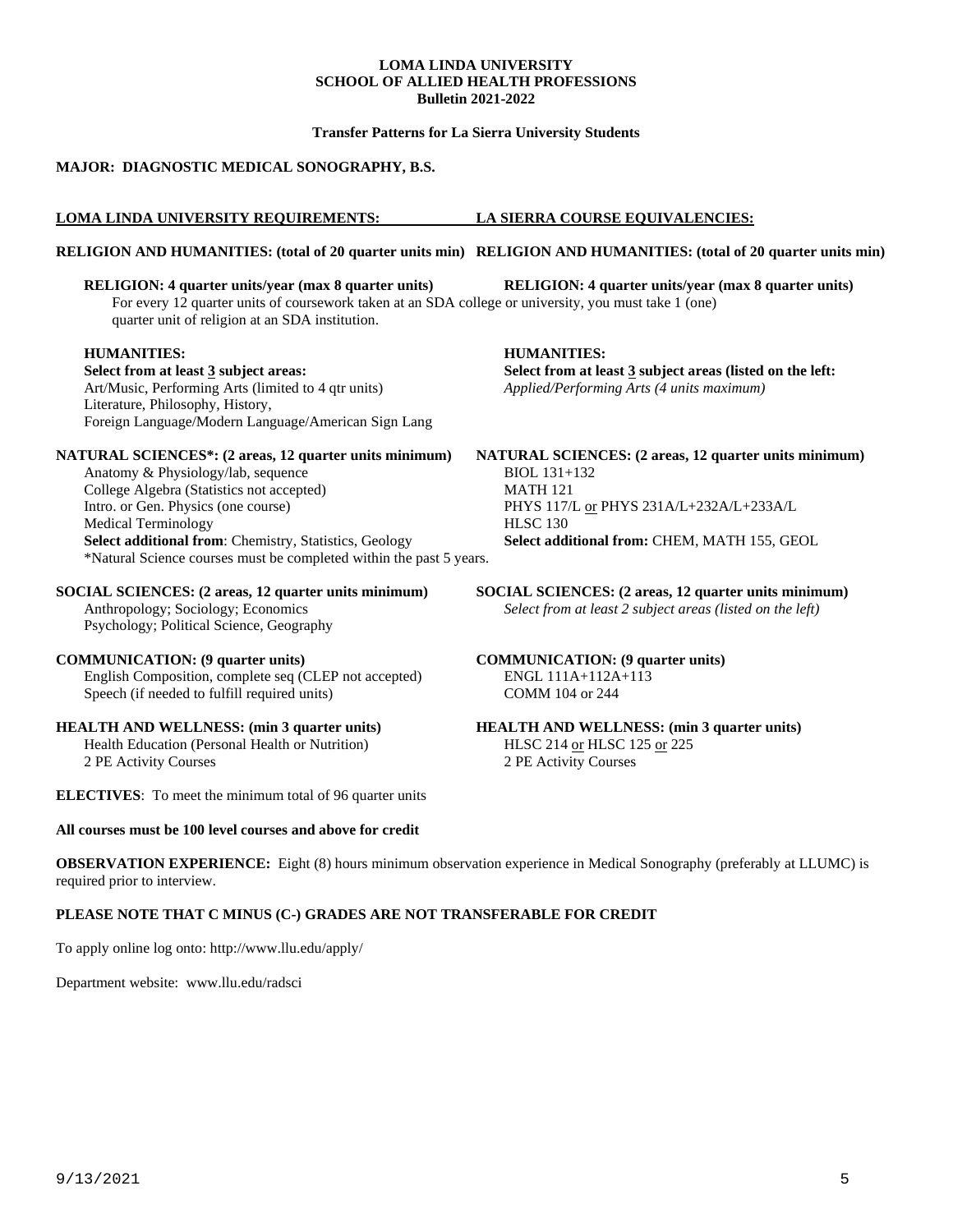**Transfer Patterns for La Sierra University Students**

### **MAJOR: DIAGNOSTIC MEDICAL SONOGRAPHY, B.S.**

### **LOMA LINDA UNIVERSITY REQUIREMENTS: LA SIERRA COURSE EQUIVALENCIES:**

#### **RELIGION AND HUMANITIES: (total of 20 quarter units min) RELIGION AND HUMANITIES: (total of 20 quarter units min)**

For every 12 quarter units of coursework taken at an SDA college or university, you must take 1 (one) quarter unit of religion at an SDA institution.

### **HUMANITIES: HUMANITIES:**

Art/Music, Performing Arts (limited to 4 qtr units) *Applied/Performing Arts (4 units maximum)* Literature, Philosophy, History, Foreign Language/Modern Language/American Sign Lang

**NATURAL SCIENCES\*: (2 areas, 12 quarter units minimum) NATURAL SCIENCES: (2 areas, 12 quarter units minimum)** Anatomy & Physiology/lab, sequence BIOL 131+132 College Algebra (Statistics not accepted) MATH 121 Intro. or Gen. Physics (one course) PHYS 117/L or PHYS 231A/L+232A/L+233A/L<br>Medical Terminology HLSC 130 Medical Terminology<br> **Select additional from: Chemistry, Statistics, Geology**<br> **Select additional from: CHEM, MATH 155, GEOL Select additional from: Chemistry, Statistics, Geology** \*Natural Science courses must be completed within the past 5 years.

**SOCIAL SCIENCES: (2 areas, 12 quarter units minimum) SOCIAL SCIENCES: (2 areas, 12 quarter units minimum)** Anthropology; Sociology; Economics **Select from at least 2 subject areas** (listed on the left) Psychology; Political Science, Geography

### **COMMUNICATION: (9 quarter units) COMMUNICATION: (9 quarter units)**

English Composition, complete seq (CLEP not accepted) ENGL 111A+112A+113 Speech (if needed to fulfill required units) COMM 104 or 244

### **HEALTH AND WELLNESS: (min 3 quarter units) HEALTH AND WELLNESS: (min 3 quarter units)**

Health Education (Personal Health or Nutrition) HLSC 214 or HLSC 125 or 225<br>2 PE Activity Courses 2 PE Activity Courses

**ELECTIVES**: To meet the minimum total of 96 quarter units

### **All courses must be 100 level courses and above for credit**

**OBSERVATION EXPERIENCE:** Eight (8) hours minimum observation experience in Medical Sonography (preferably at LLUMC) is required prior to interview.

### **PLEASE NOTE THAT C MINUS (C-) GRADES ARE NOT TRANSFERABLE FOR CREDIT**

To apply online log onto:<http://www.llu.edu/apply/>

Department website: [www.llu.edu/radsci](http://www.llu.edu/radsci)

**RELIGION: 4 quarter units/year (max 8 quarter units) RELIGION: 4 quarter units/year (max 8 quarter units)**

**Select from at least 3 subject areas: Select from at least 3 subject areas (listed on the left:**

Select from at least 2 subject areas (listed on the left)

2 PE Activity Courses 2 PE Activity Courses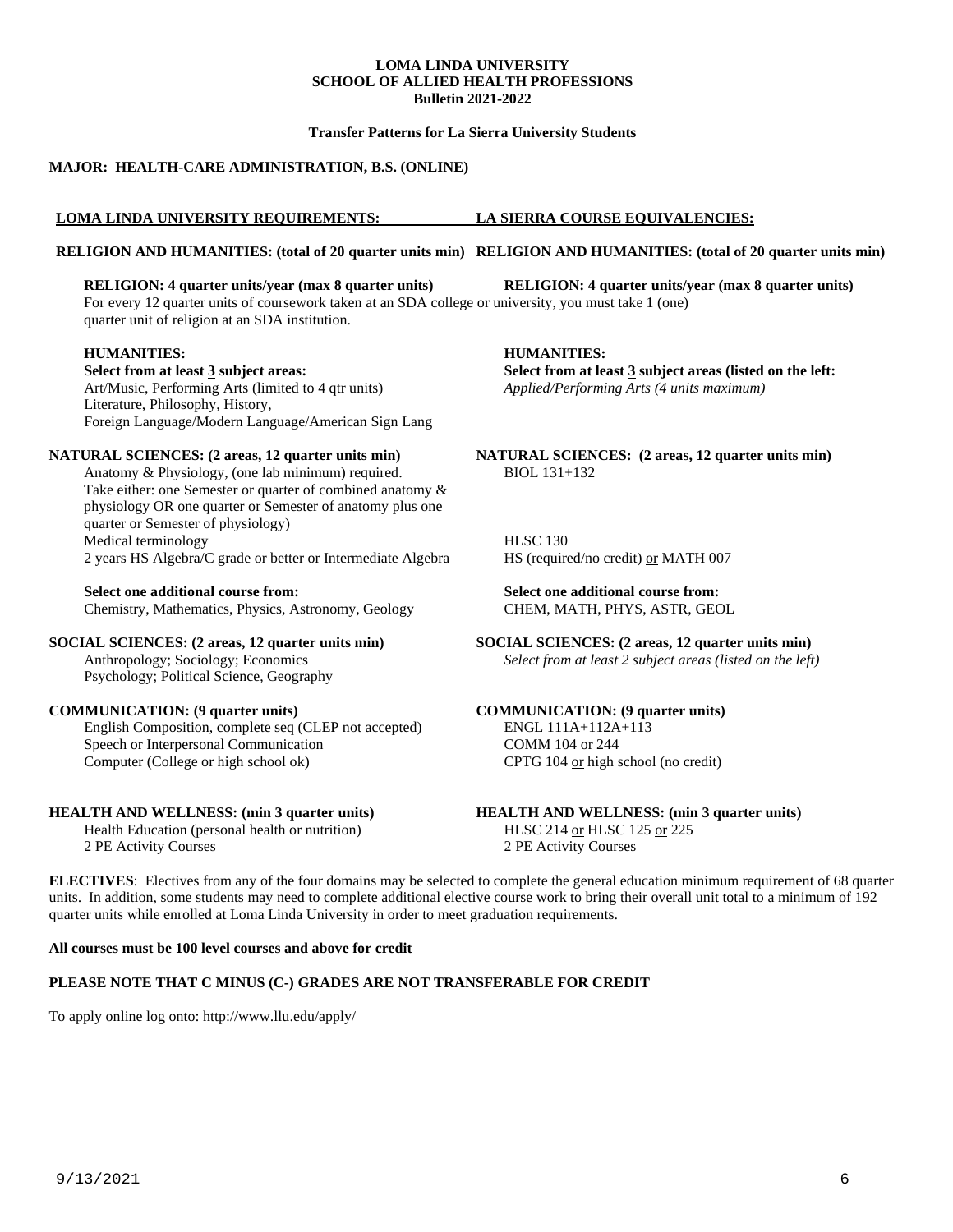**Transfer Patterns for La Sierra University Students**

### **MAJOR: HEALTH-CARE ADMINISTRATION, B.S. (ONLINE)**

### **LOMA LINDA UNIVERSITY REQUIREMENTS: LA SIERRA COURSE EQUIVALENCIES:**

#### **RELIGION AND HUMANITIES: (total of 20 quarter units min) RELIGION AND HUMANITIES: (total of 20 quarter units min)**

#### **RELIGION: 4 quarter units/year (max 8 quarter units) RELIGION: 4 quarter units/year (max 8 quarter units)**

For every 12 quarter units of coursework taken at an SDA college or university, you must take 1 (one) quarter unit of religion at an SDA institution.

## **HUMANITIES: HUMANITIES:**

Art/Music, Performing Arts (limited to 4 qtr units) Literature, Philosophy, History, Foreign Language/Modern Language/American Sign Lang

Anatomy & Physiology, (one lab minimum) required. BIOL 131+132 Take either: one Semester or quarter of combined anatomy & physiology OR one quarter or Semester of anatomy plus one quarter or Semester of physiology) Medical terminology HLSC 130 2 years HS Algebra/C grade or better or Intermediate Algebra  $\overline{HS}$  (required/no credit) or MATH 007

Chemistry, Mathematics, Physics, Astronomy, Geology

Psychology; Political Science, Geography

English Composition, complete seq (CLEP not accepted) ENGL 111A+112A<br>Speech or Interpersonal Communication COMM 104 or 244 Speech or Interpersonal Communication<br>
COMM 104 or 244<br>
COMM 104 or 244<br>
CPTG 104 <u>or</u> high school (no credit) Computer (College or high school ok)

### **HEALTH AND WELLNESS: (min 3 quarter units) HEALTH AND WELLNESS: (min 3 quarter units)**

Health Education (personal health or nutrition) HLSC 214 or HLSC 125 or 225<br>2 PE Activity Courses 2 PE Activity Courses 2 PE Activity Courses 2 PE Activity Courses

**Select from at least 3 subject areas (listed on the left:** *Applied/Performing Arts (4 units maximum)* 

**NATURAL SCIENCES: (2 areas, 12 quarter units min) NATURAL SCIENCES: (2 areas, 12 quarter units min)**

**Select one additional course from:**<br> **Select one additional course from:**<br>
CHEM, MATH, PHYS, ASTR, GEOL<br>
CHEM, MATH, PHYS, ASTR, GEOL

**SOCIAL SCIENCES: (2 areas, 12 quarter units min)**<br>Anthropology; Sociology; Economics Select from at least 2 subject areas (listed on the left Select from at least 2 subject areas (listed on the left)

# **COMMUNICATION: (9 quarter units)**<br> **COMMUNICATION: (9 quarter units)**<br> **COMMUNICATION: (9 quarter units)**<br> **COMMUNICATION: (9 quarter units)**

**ELECTIVES**: Electives from any of the four domains may be selected to complete the general education minimum requirement of 68 quarter units. In addition, some students may need to complete additional elective course work to bring their overall unit total to a minimum of 192 quarter units while enrolled at Loma Linda University in order to meet graduation requirements.

#### **All courses must be 100 level courses and above for credit**

### **PLEASE NOTE THAT C MINUS (C-) GRADES ARE NOT TRANSFERABLE FOR CREDIT**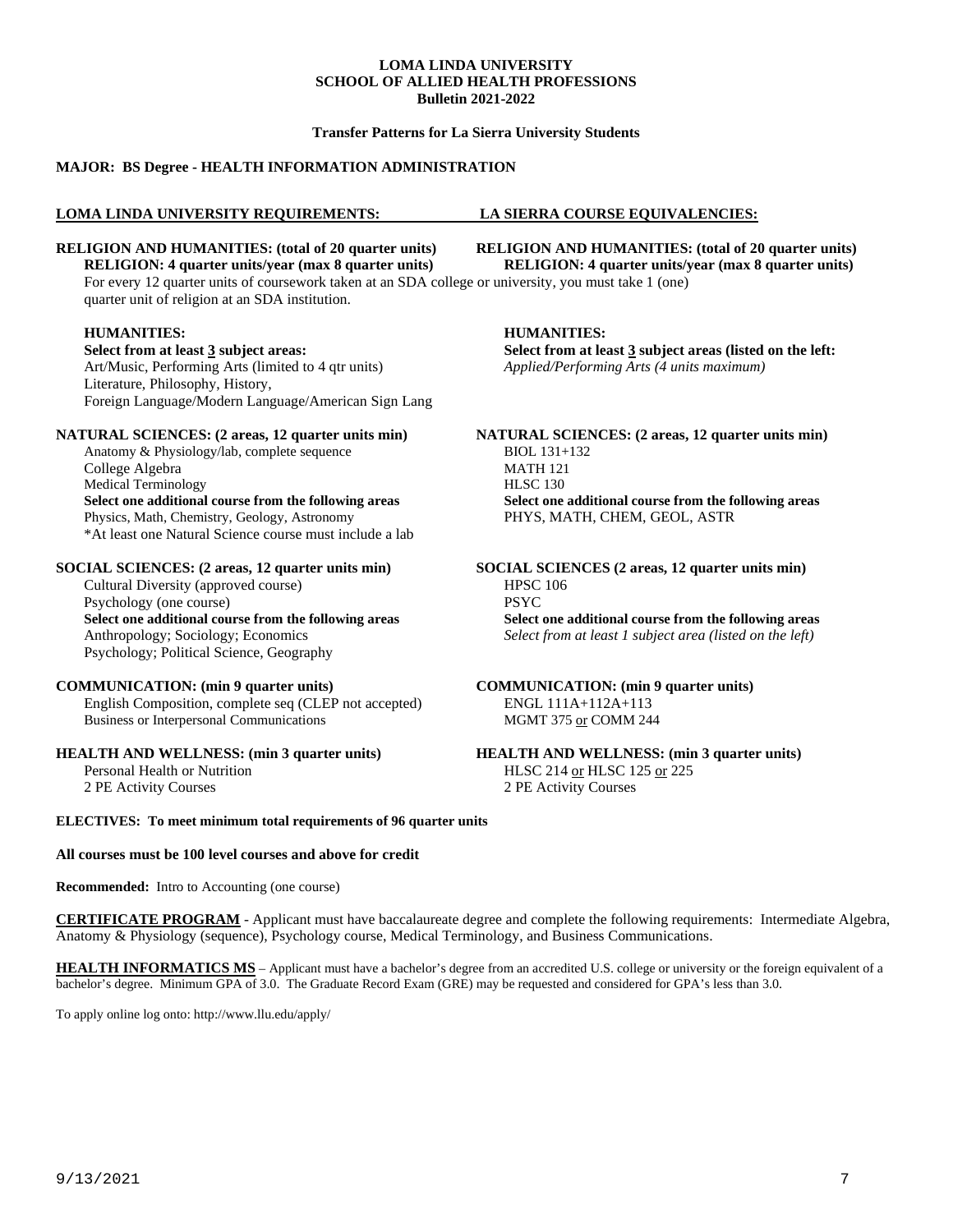#### **Transfer Patterns for La Sierra University Students**

### **MAJOR: BS Degree - HEALTH INFORMATION ADMINISTRATION**

#### **LOMA LINDA UNIVERSITY REQUIREMENTS: LA SIERRA COURSE EQUIVALENCIES:**

**RELIGION AND HUMANITIES: (total of 20 quarter units) RELIGION AND HUMANITIES: (total of 20 quarter units) RELIGION: 4 quarter units/year (max 8 quarter units) RELIGION: 4 quarter units/year (max 8 quarter units)** For every 12 quarter units of coursework taken at an SDA college or university, you must take 1 (one) quarter unit of religion at an SDA institution.

#### **HUMANITIES: HUMANITIES:**

Art/Music, Performing Arts (limited to 4 qtr units) Literature, Philosophy, History, Foreign Language/Modern Language/American Sign Lang

Anatomy & Physiology/lab, complete sequence College Algebra MATH 121 Medical Terminology HLSC 130 Physics, Math, Chemistry, Geology, Astronomy PHYS, MATH, CHEM, GEOL, ASTR \*At least one Natural Science course must include a lab

Cultural Diversity (approved course) Psychology (one course) PSYC Anthropology; Sociology; Economics *Select from at least 1 subject area (listed on the left)* Psychology; Political Science, Geography

### **COMMUNICATION: (min 9 quarter units) COMMUNICATION: (min 9 quarter units)**

English Composition, complete seq (CLEP not accepted) ENGL 111A+112A+113<br>Business or Interpersonal Communications MGMT 375 or COMM 244 Business or Interpersonal Communications

**HEALTH AND WELLNESS: (min 3 quarter units) HEALTH AND WELLNESS: (min 3 quarter units)** Personal Health or Nutrition HLSC 214 or HLSC 214 or HLSC 125 or 225 2 PE Activity Courses 2 PE Activity Courses

**Select from at least 3 subject areas: Select from at least 3 subject areas (listed on the left:** Art/Music, Performing Arts (limited to 4 qtr units) *Applied/Performing Arts (4 units maximum)* 

**NATURAL SCIENCES: (2 areas, 12 quarter units min) NATURAL SCIENCES: (2 areas, 12 quarter units min)** <br>Anatomy & Physiology/lab, complete sequence **BIOL 131+132 Select one additional course from the following areas Select one additional course from the following areas**

**SOCIAL SCIENCES: (2 areas, 12 quarter units min) SOCIAL SCIENCES (2 areas, 12 quarter units min)** <br>Cultural Diversity (approved course) **HPSC 106 HPSC 106 Select one additional course from the following areas Select one additional course from the following areas**

#### **ELECTIVES: To meet minimum total requirements of 96 quarter units**

### **All courses must be 100 level courses and above for credit**

**Recommended:** Intro to Accounting (one course)

**CERTIFICATE PROGRAM** - Applicant must have baccalaureate degree and complete the following requirements: Intermediate Algebra, Anatomy & Physiology (sequence), Psychology course, Medical Terminology, and Business Communications.

**HEALTH INFORMATICS MS** – Applicant must have a bachelor's degree from an accredited U.S. college or university or the foreign equivalent of a bachelor's degree. Minimum GPA of 3.0. The Graduate Record Exam (GRE) may be requested and considered for GPA's less than 3.0.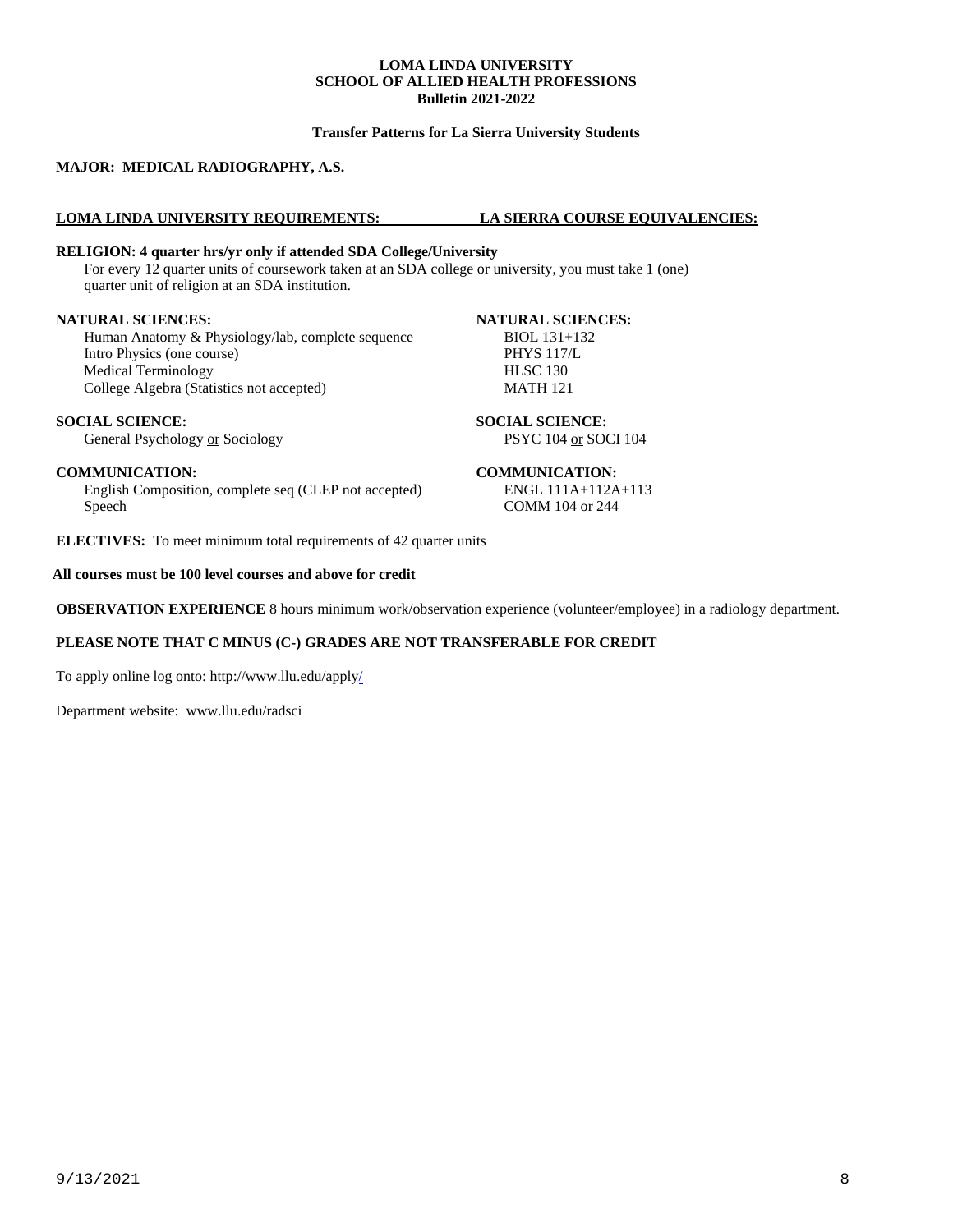#### **Transfer Patterns for La Sierra University Students**

### **MAJOR: MEDICAL RADIOGRAPHY, A.S.**

#### **LOMA LINDA UNIVERSITY REQUIREMENTS: LA SIERRA COURSE EQUIVALENCIES:**

### **RELIGION: 4 quarter hrs/yr only if attended SDA College/University**

For every 12 quarter units of coursework taken at an SDA college or university, you must take 1 (one) quarter unit of religion at an SDA institution.

### **NATURAL SCIENCES: NATURAL SCIENCES:**

Human Anatomy & Physiology/lab, complete sequence BIOL 131+132 Intro Physics (one course) PHYS 117/L<br>
Medical Terminology PHYS 117/L<br>
HLSC 130 Medical Terminology College Algebra (Statistics not accepted) MATH 121

**SOCIAL SCIENCE:**<br> **SOCIAL SCIENCE:**<br> **SOCIAL SCIENCE:**<br> **SOCIAL SCIENCE:**<br>
PSYC 104 or SOCI 104 General Psychology or Sociology

**COMMUNICATION:**<br>
English Composition. complete seq (CLEP not accepted) ENGL 111A+112A+113 English Composition, complete seq (CLEP not accepted) Speech COMM 104 or 244

**ELECTIVES:** To meet minimum total requirements of 42 quarter units

### **All courses must be 100 level courses and above for credit**

**OBSERVATION EXPERIENCE** 8 hours minimum work/observation experience (volunteer/employee) in a radiology department.

### **PLEASE NOTE THAT C MINUS (C-) GRADES ARE NOT TRANSFERABLE FOR CREDIT**

To apply online log onto:<http://www.llu.edu/apply/>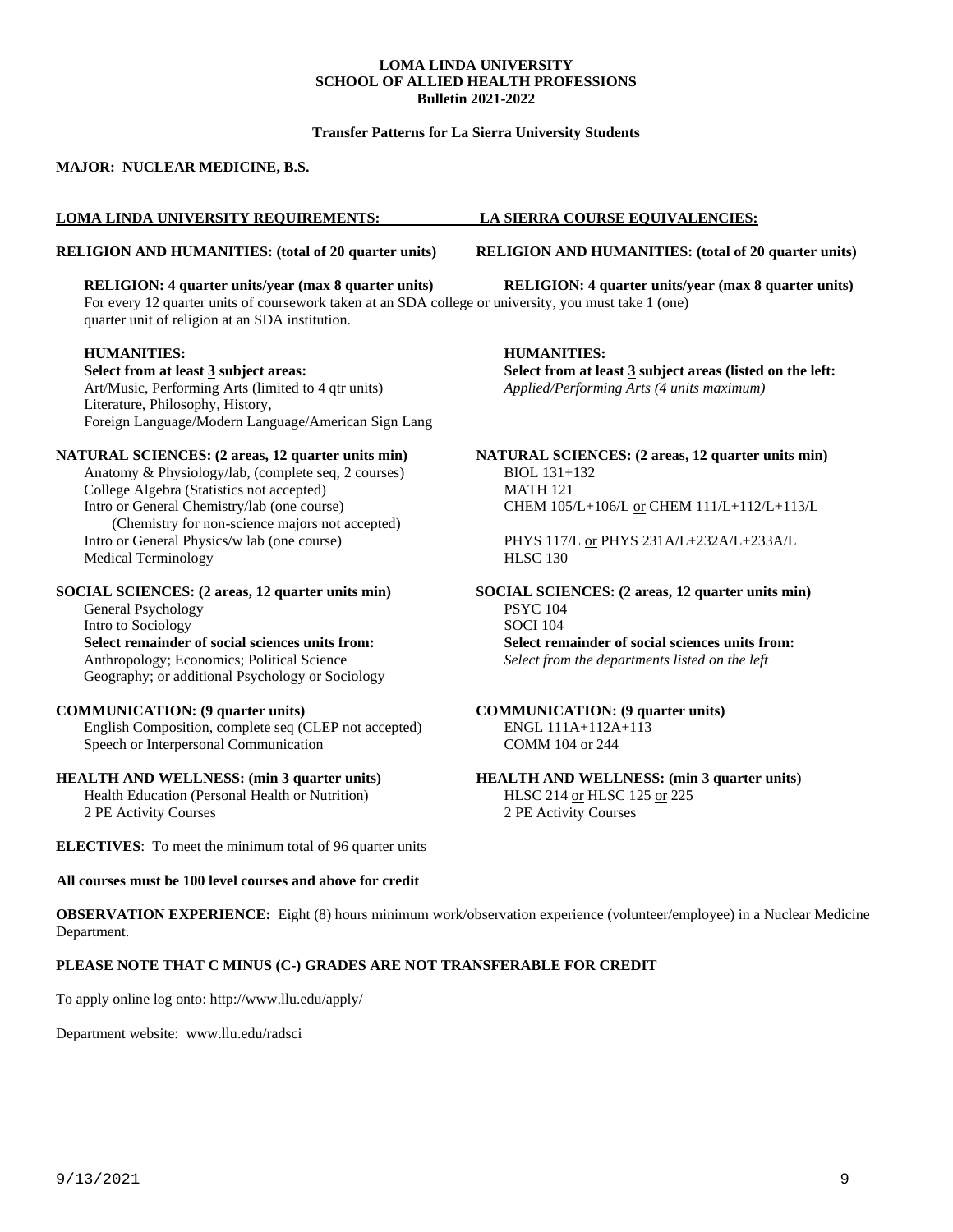**Transfer Patterns for La Sierra University Students**

#### **MAJOR: NUCLEAR MEDICINE, B.S.**

### **LOMA LINDA UNIVERSITY REQUIREMENTS: LA SIERRA COURSE EQUIVALENCIES:**

For every 12 quarter units of coursework taken at an SDA college or university, you must take 1 (one) quarter unit of religion at an SDA institution.

Art/Music, Performing Arts (limited to 4 qtr units) Literature, Philosophy, History, Foreign Language/Modern Language/American Sign Lang

#### **NATURAL SCIENCES: (2 areas, 12 quarter units min) NATURAL SCIENCES: (2 areas, 12 quarter units min)**

Anatomy & Physiology/lab, (complete seq, 2 courses) BIOL 131+132 College Algebra (Statistics not accepted) MATH 121 (Chemistry for non-science majors not accepted)<br>Intro or General Physics/w lab (one course) Medical Terminology **HLSC 130** 

General Psychology<br>
Intro to Sociology<br>
SOCI 104 **Select remainder of social sciences units from:**<br>Anthropology; Economics; Political Science Geography; or additional Psychology or Sociology

English Composition, complete seq (CLEP not accepted) ENGL 111A+112A<br>Speech or Internersonal Communication COMM 104 or 244 Speech or Interpersonal Communication

Health Education (Personal Health or Nutrition) HLSC 214 or HLSC 125 or 225 2 PE Activity Courses 2 PE Activity Courses

**ELECTIVES**: To meet the minimum total of 96 quarter units

#### **All courses must be 100 level courses and above for credit**

#### **RELIGION AND HUMANITIES: (total of 20 quarter units) RELIGION AND HUMANITIES: (total of 20 quarter units)**

**RELIGION: 4 quarter units/year (max 8 quarter units) RELIGION: 4 quarter units/year (max 8 quarter units)**

#### **HUMANITIES: HUMANITIES:**

**Select from at least 3 subject areas: Select from at least 3 subject areas (listed on the left:** Art/Music, Performing Arts (limited to 4 qtr units) *Applied/Performing Arts (4 units maximum)* 

Intro or General Chemistry/lab (one course) CHEM 105/L+106/L or CHEM 111/L+112/L+113/L

PHYS 117/L or PHYS 231A/L+232A/L+233A/L

**SOCIAL SCIENCES: (2 areas, 12 quarter units min) SOCIAL SCIENCES: (2 areas, 12 quarter units min)** Intro to Sociology<br>
Select remainder of social sciences units from:<br>
Select remainder of social sciences units from:<br>
Select remainder of social sciences units from:

Select from the departments listed on the left

# **COMMUNICATION: (9 quarter units)**<br> **COMMUNICATION: (9 quarter units)**<br> **COMMUNICATION: (9 quarter units)**<br> **COMMUNICATION: (9 quarter units)**

**HEALTH AND WELLNESS: (min 3 quarter units) HEALTH AND WELLNESS: (min 3 quarter units)**

**OBSERVATION EXPERIENCE:** Eight (8) hours minimum work/observation experience (volunteer/employee) in a Nuclear Medicine Department.

### **PLEASE NOTE THAT C MINUS (C-) GRADES ARE NOT TRANSFERABLE FOR CREDIT**

To apply online log onto:<http://www.llu.edu/apply/>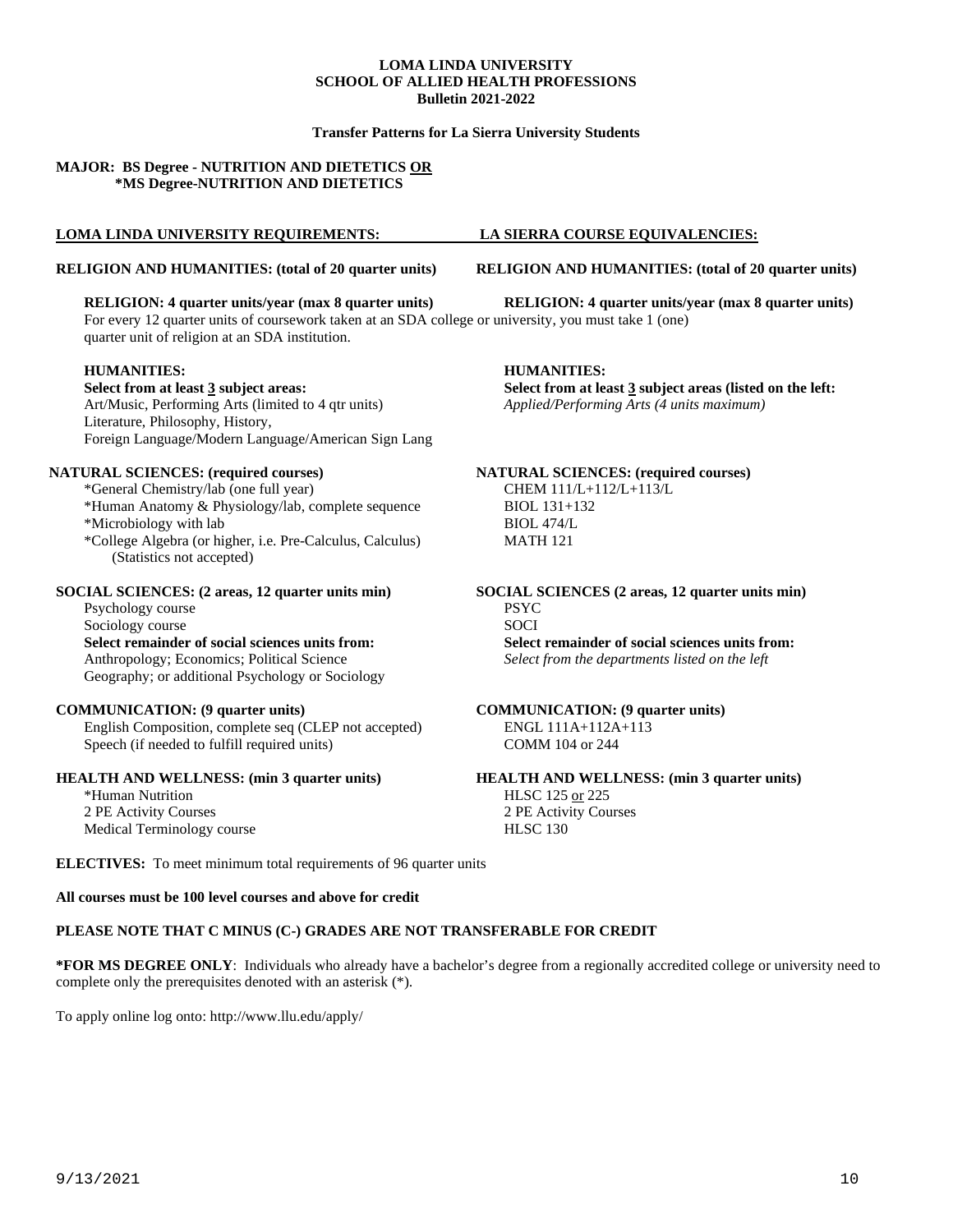#### **Transfer Patterns for La Sierra University Students**

### **MAJOR: BS Degree - NUTRITION AND DIETETICS OR \*MS Degree-NUTRITION AND DIETETICS**

#### **LOMA LINDA UNIVERSITY REQUIREMENTS: LA SIERRA COURSE EQUIVALENCIES:**

For every 12 quarter units of coursework taken at an SDA college or university, you must take 1 (one) quarter unit of religion at an SDA institution.

**Select from at least 3 subject areas: Select from at least 3 subject areas (listed on the left:** Art/Music, Performing Arts (limited to 4 qtr units) *Applied/Performing Arts (4 units maximum)* Literature, Philosophy, History, Foreign Language/Modern Language/American Sign Lang

\*General Chemistry/lab (one full year)

\*Human Anatomy & Physiology/lab, complete sequence BIOL 131+132 \*Microbiology with lab

\*College Algebra (or higher, i.e. Pre-Calculus, Calculus) MATH 121 (Statistics not accepted)

### **SOCIAL SCIENCES: (2 areas, 12 quarter units min) SOCIAL SCIENCES (2 areas, 12 quarter units min)**

Psychology course PSYC<br>Sociology course PSYC<br>Sociology course PSYC **Select remainder of social sciences units from:**<br>Anthropology; Economics; Political Science Geography; or additional Psychology or Sociology

English Composition, complete seq (CLEP not accepted) ENGL 111A+112A<br>Speech (if needed to fulfill required units) COMM 104 or 244 Speech (if needed to fulfill required units)

\*Human Nutrition HLSC 125 or 225 2 PE Activity Courses 2 PE Activity Courses Medical Terminology course HLSC 130

**ELECTIVES:** To meet minimum total requirements of 96 quarter units

### **All courses must be 100 level courses and above for credit**

### **PLEASE NOTE THAT C MINUS (C-) GRADES ARE NOT TRANSFERABLE FOR CREDIT**

**\*FOR MS DEGREE ONLY**: Individuals who already have a bachelor's degree from a regionally accredited college or university need to complete only the prerequisites denoted with an asterisk (\*).

To apply online log onto:<http://www.llu.edu/apply/>

**RELIGION AND HUMANITIES: (total of 20 quarter units) RELIGION AND HUMANITIES: (total of 20 quarter units)**

**RELIGION: 4 quarter units/year (max 8 quarter units) RELIGION: 4 quarter units/year (max 8 quarter units)**

#### **HUMANITIES: HUMANITIES:**

## **NATURAL SCIENCES: (required courses)**<br>
\*General Chemistry/lab (one full year) **NATURAL SCIENCES: (required courses)**<br>
CHEM 111/L+112/L+113/L

Sociology course<br>
Select remainder of social sciences units from:<br>
Select remainder of social sciences units from:<br>
Select remainder of social sciences units from:

Select from the departments listed on the left

**COMMUNICATION: (9 quarter units)**<br> **COMMUNICATION: (9 quarter units)**<br> **COMMUNICATION: (9 quarter units)**<br> **COMMUNICATION: (9 quarter units)** 

### **HEALTH AND WELLNESS: (min 3 quarter units) HEALTH AND WELLNESS: (min 3 quarter units)**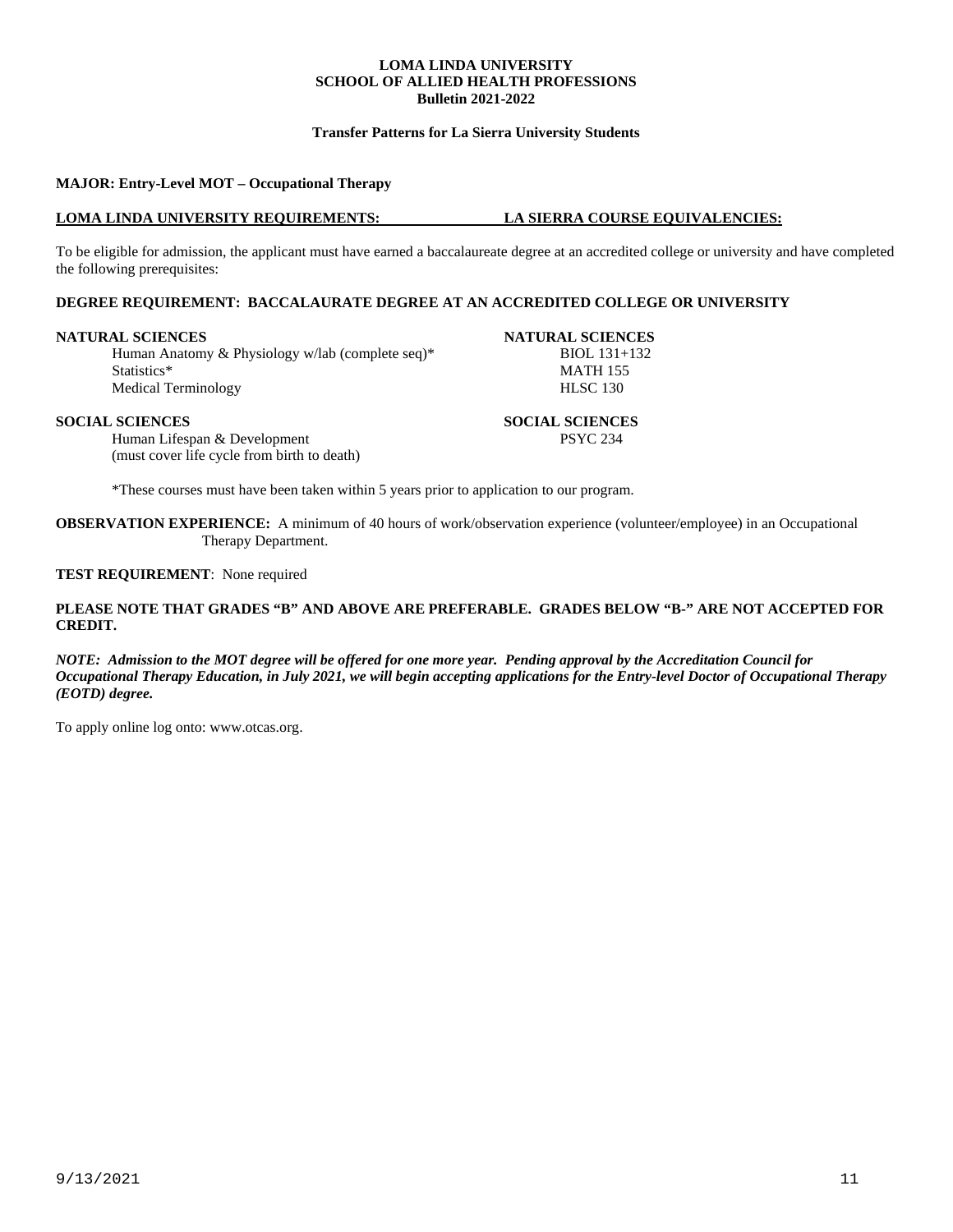#### **Transfer Patterns for La Sierra University Students**

### **MAJOR: Entry-Level MOT – Occupational Therapy**

### **LOMA LINDA UNIVERSITY REQUIREMENTS: LA SIERRA COURSE EQUIVALENCIES:**

To be eligible for admission, the applicant must have earned a baccalaureate degree at an accredited college or university and have completed the following prerequisites:

### **DEGREE REQUIREMENT: BACCALAURATE DEGREE AT AN ACCREDITED COLLEGE OR UNIVERSITY**

#### **NATURAL SCIENCES NATURAL SCIENCES**

Human Anatomy & Physiology w/lab (complete seq)\* BIOL 131+132 Statistics\* MATH 155 Medical Terminology **HLSC 130** 

Human Lifespan & Development (must cover life cycle from birth to death)

\*These courses must have been taken within 5 years prior to application to our program.

**OBSERVATION EXPERIENCE:** A minimum of 40 hours of work/observation experience (volunteer/employee) in an Occupational Therapy Department.

### **TEST REQUIREMENT**: None required

### **PLEASE NOTE THAT GRADES "B" AND ABOVE ARE PREFERABLE. GRADES BELOW "B-" ARE NOT ACCEPTED FOR CREDIT.**

*NOTE: Admission to the MOT degree will be offered for one more year. Pending approval by the Accreditation Council for Occupational Therapy Education, in July 2021, we will begin accepting applications for the Entry-level Doctor of Occupational Therapy (EOTD) degree.*

To apply online log onto: [www.otcas.org.](http://www.otcas.org./)

9/13/2021 11

**SOCIAL SCIENCES**<br> **SOCIAL SCIENCES**<br> **SOCIAL SCIENCES**<br> **SOCIAL SCIENCES**<br> **SOCIAL SCIENCES**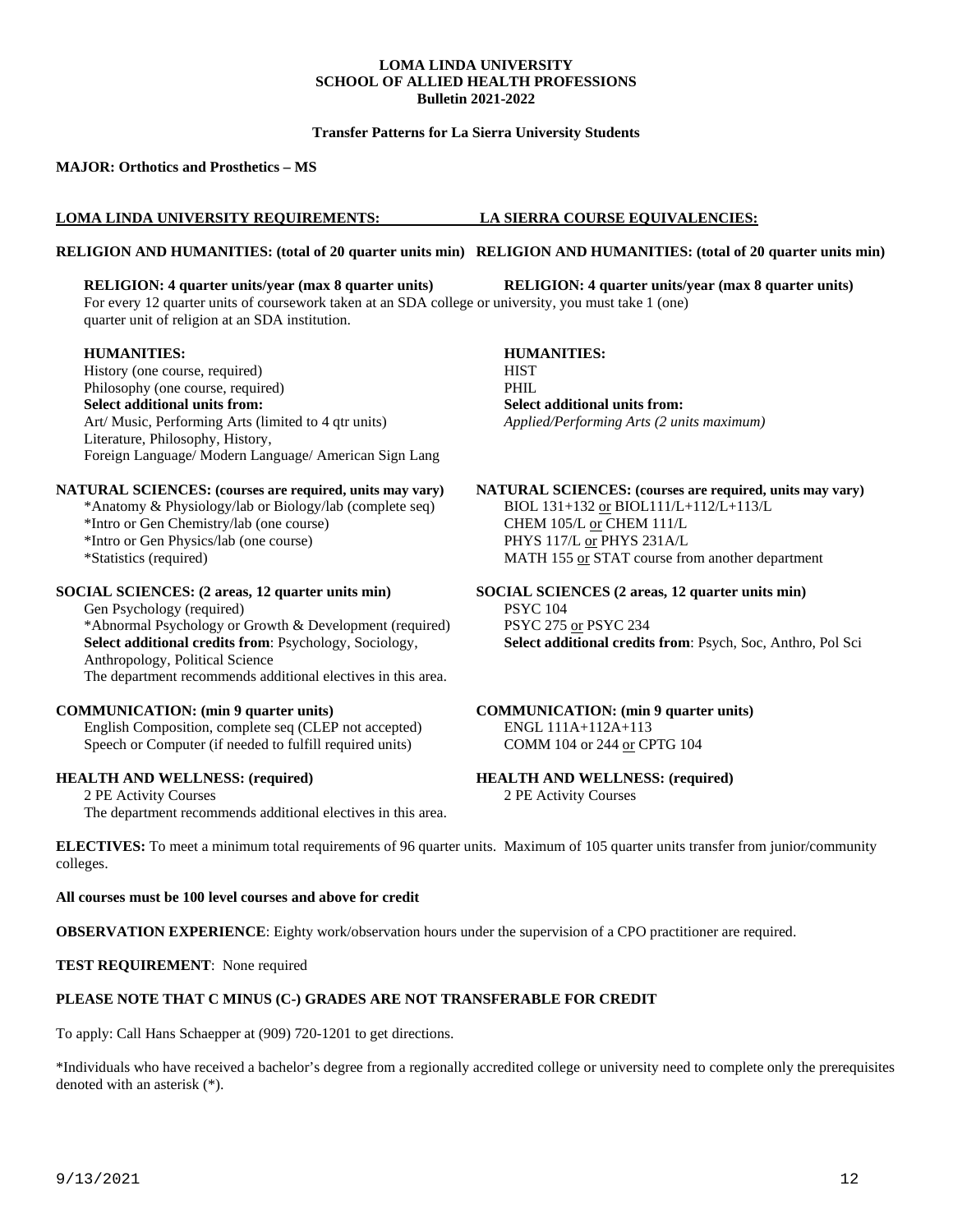**Transfer Patterns for La Sierra University Students**

#### **MAJOR: Orthotics and Prosthetics – MS**

### **LOMA LINDA UNIVERSITY REQUIREMENTS: LA SIERRA COURSE EQUIVALENCIES:**

#### **RELIGION AND HUMANITIES: (total of 20 quarter units min) RELIGION AND HUMANITIES: (total of 20 quarter units min)**

#### **RELIGION: 4 quarter units/year (max 8 quarter units) RELIGION: 4 quarter units/year (max 8 quarter units)**

For every 12 quarter units of coursework taken at an SDA college or university, you must take 1 (one) quarter unit of religion at an SDA institution.

History (one course, required) HIST Philosophy (one course, required) Thilosophy (one course, required) PHIL<br>
Select additional units from:<br>
Select additional units from:  $S<sub>elect</sub> additional units from:$ Art/ Music, Performing Arts (limited to 4 qtr units) *Applied/Performing Arts (2 units maximum)* Literature, Philosophy, History, Foreign Language/ Modern Language/ American Sign Lang

\*Anatomy & Physiology/lab or Biology/lab (complete seq) \*Intro or Gen Chemistry/lab (one course) CHEM 105/L or CHEM 111/L \*Intro or Gen Physics/lab (one course) PHYS 117/L or PHYS 231A/L \*Statistics (required) MATH 155 or STAT course from another department

Gen Psychology (required) \*Abnormal Psychology or Growth & Development (required) PSYC 275 or PSYC 234<br> **Select additional credits from:** Psychology, Sociology, **Select additional credits** Anthropology, Political Science The department recommends additional electives in this area.

English Composition, complete seq (CLEP not accepted) ENGL 111A+112A+113<br>Speech or Computer (if needed to fulfill required units) COMM 104 or 244 or CPTG 104 Speech or Computer (if needed to fulfill required units)

### **HEALTH AND WELLNESS: (required) HEALTH AND WELLNESS: (required)**

2 PE Activity Courses 2 PE Activity Courses The department recommends additional electives in this area.

**HUMANITIES: HUMANITIES:** 

**NATURAL SCIENCES: (courses are required, units may vary) NATURAL SCIENCES: (courses are required, units may vary)**<br>
\*Anatomy & Physiology/lab or Biology/lab (complete seq) **BIOL 131+132 or BIOL111/L+112/L+113/L** 

**SOCIAL SCIENCES: (2 areas, 12 quarter units min) SOCIAL SCIENCES** (2 areas, 12 quarter units min) **SOCIAL SCIENCES** (2 areas, 12 quarter units min)

Select additional credits from: Psych, Soc, Anthro, Pol Sci

**COMMUNICATION: (min 9 quarter units)**<br> **COMMUNICATION: (min 9 quarter units)**<br> **COMMUNICATION: (min 9 quarter units)**<br> **COMMUNICATION: (min 9 quarter units)** 

**ELECTIVES:** To meet a minimum total requirements of 96 quarter units. Maximum of 105 quarter units transfer from junior/community colleges.

#### **All courses must be 100 level courses and above for credit**

**OBSERVATION EXPERIENCE**: Eighty work/observation hours under the supervision of a CPO practitioner are required.

**TEST REQUIREMENT**: None required

### **PLEASE NOTE THAT C MINUS (C-) GRADES ARE NOT TRANSFERABLE FOR CREDIT**

To apply: Call Hans Schaepper at (909) 720-1201 to get directions.

\*Individuals who have received a bachelor's degree from a regionally accredited college or university need to complete only the prerequisites denoted with an asterisk (\*).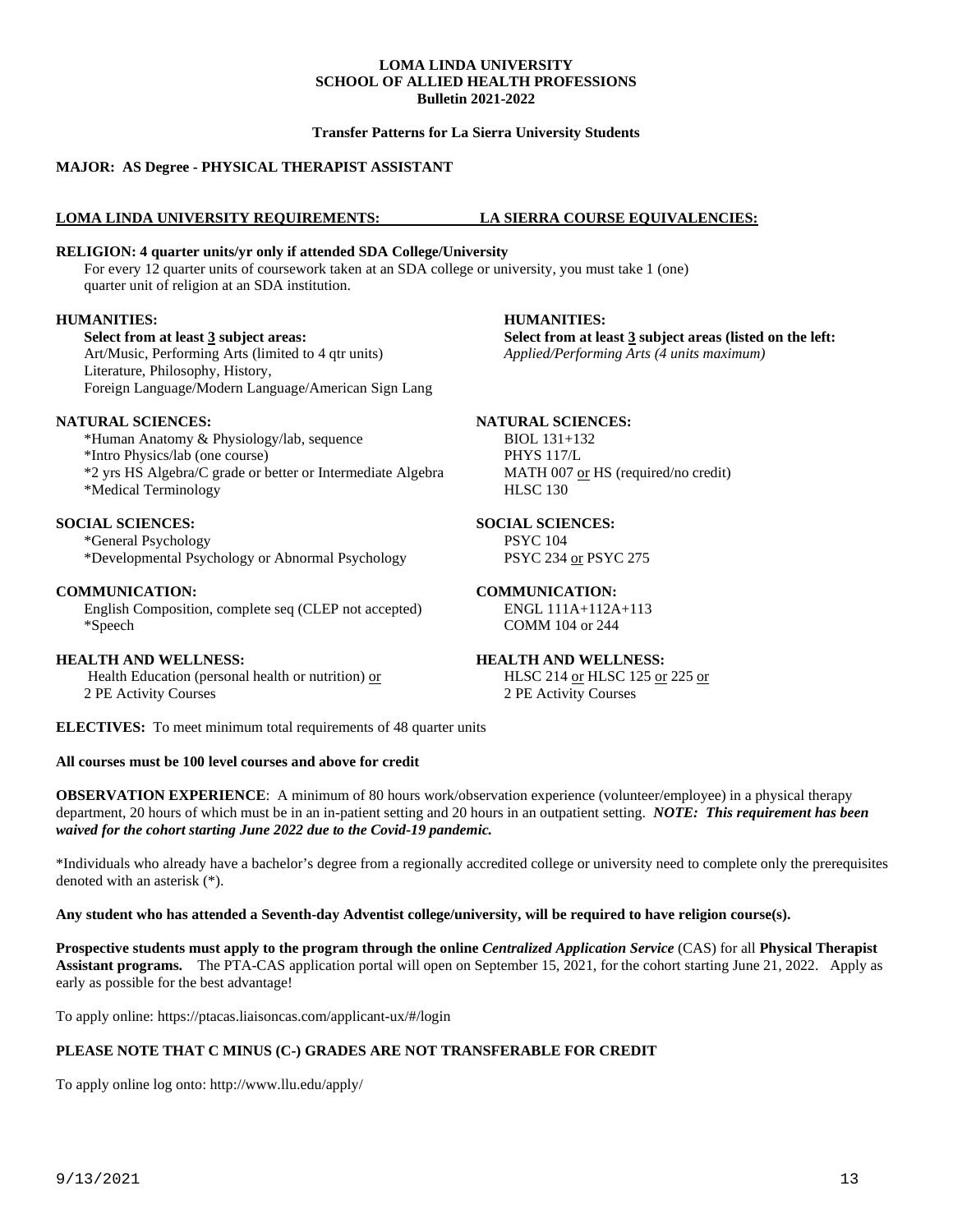### **Transfer Patterns for La Sierra University Students**

### **MAJOR: AS Degree - PHYSICAL THERAPIST ASSISTANT**

### **LOMA LINDA UNIVERSITY REQUIREMENTS: LA SIERRA COURSE EQUIVALENCIES:**

### **RELIGION: 4 quarter units/yr only if attended SDA College/University**

For every 12 quarter units of coursework taken at an SDA college or university, you must take 1 (one) quarter unit of religion at an SDA institution.

### **HUMANITIES: HUMANITIES:**

**Select from at least 3 subject areas: Select from at least 3 subject areas (listed on the left:**

Literature, Philosophy, History, Foreign Language/Modern Language/American Sign Lang

### **NATURAL SCIENCES: NATURAL SCIENCES:**

\*Human Anatomy & Physiology/lab, sequence BIOL 131+132 \*Intro Physics/lab (one course) PHYS 117/L \*2 yrs HS Algebra/C grade or better or Intermediate Algebra MATH 007 or HS (required/no credit) \*Medical Terminology HLSC 130

### **SOCIAL SCIENCES: SOCIAL SCIENCES:**

\*General Psychology PSYC 104

\*Developmental Psychology or Abnormal Psychology PSYC 234 or PSYC 275

**COMMUNICATION:**<br>
English Composition. complete seq (CLEP not accepted) ENGL 111A+112A+113 English Composition, complete seq (CLEP not accepted) \*Speech COMM 104 or 244

### **HEALTH AND WELLNESS: HEALTH AND WELLNESS:**

Health Education (personal health or nutrition) <u>or</u> HLSC 214 or HLSC 125 or 225 or 2 PE Activity Courses 2 PE Activity Courses

**ELECTIVES:** To meet minimum total requirements of 48 quarter units

### **All courses must be 100 level courses and above for credit**

**OBSERVATION EXPERIENCE:** A minimum of 80 hours work/observation experience (volunteer/employee) in a physical therapy department, 20 hours of which must be in an in-patient setting and 20 hours in an outpatient setting. *NOTE: This requirement has been waived for the cohort starting June 2022 due to the Covid-19 pandemic.*

\*Individuals who already have a bachelor's degree from a regionally accredited college or university need to complete only the prerequisites denoted with an asterisk (\*).

### **Any student who has attended a Seventh-day Adventist college/university, will be required to have religion course(s).**

**Prospective students must apply to the program through the online** *Centralized Application Service* (CAS) for all **Physical Therapist Assistant programs.** The PTA-CAS application portal will open on September 15, 2021, for the cohort starting June 21, 2022. Apply as early as possible for the best advantage!

To apply online:<https://ptacas.liaisoncas.com/applicant-ux/#/login>

### **PLEASE NOTE THAT C MINUS (C-) GRADES ARE NOT TRANSFERABLE FOR CREDIT**

To apply online log onto:<http://www.llu.edu/apply/>

Art/Music, Performing Arts (limited to 4 qtr units) *Applied/Performing Arts (4 units maximum)*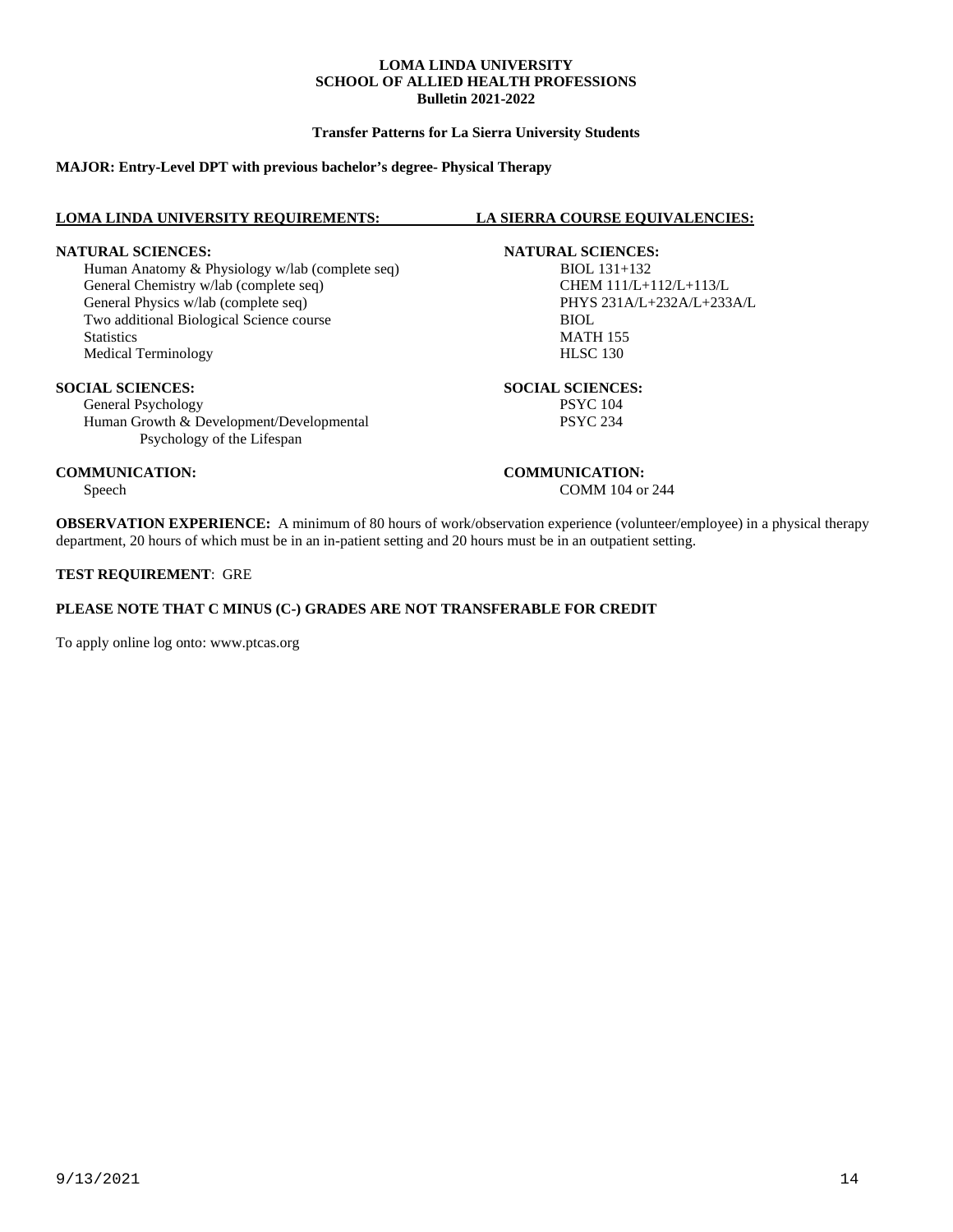#### **Transfer Patterns for La Sierra University Students**

### **MAJOR: Entry-Level DPT with previous bachelor's degree- Physical Therapy**

#### **LOMA LINDA UNIVERSITY REQUIREMENTS: LA SIERRA COURSE EQUIVALENCIES:**

#### **NATURAL SCIENCES: NATURAL SCIENCES:**

Human Anatomy & Physiology w/lab (complete seq)<br>
General Chemistry w/lab (complete seq)<br>
CHEM 111/L+112/L+113/L General Chemistry w/lab (complete seq)<br>
General Physics w/lab (complete seq)<br>
PHYS 231A/L+232A/L+233A/L General Physics w/lab (complete seq) Two additional Biological Science course BIOL Two additional Biological Science course Statistics MATH 155 Medical Terminology **HLSC 130** 

**SOCIAL SCIENCES:**<br> **SOCIAL SCIENCES:**<br> **SOCIAL SCIENCES:**<br> **SOCIAL SCIENCES:**<br>
PSYC 104 General Psychology<br>
Human Growth & Development/Developmental<br>
PSYC 234 Human Growth & Development/Developmental Psychology of the Lifespan

#### **COMMUNICATION: COMMUNICATION:**

Speech COMM 104 or 244

**OBSERVATION EXPERIENCE:** A minimum of 80 hours of work/observation experience (volunteer/employee) in a physical therapy department, 20 hours of which must be in an in-patient setting and 20 hours must be in an outpatient setting.

### **TEST REQUIREMENT**: GRE

### **PLEASE NOTE THAT C MINUS (C-) GRADES ARE NOT TRANSFERABLE FOR CREDIT**

To apply online log onto: [www.ptcas.org](http://www.ptcas.org/)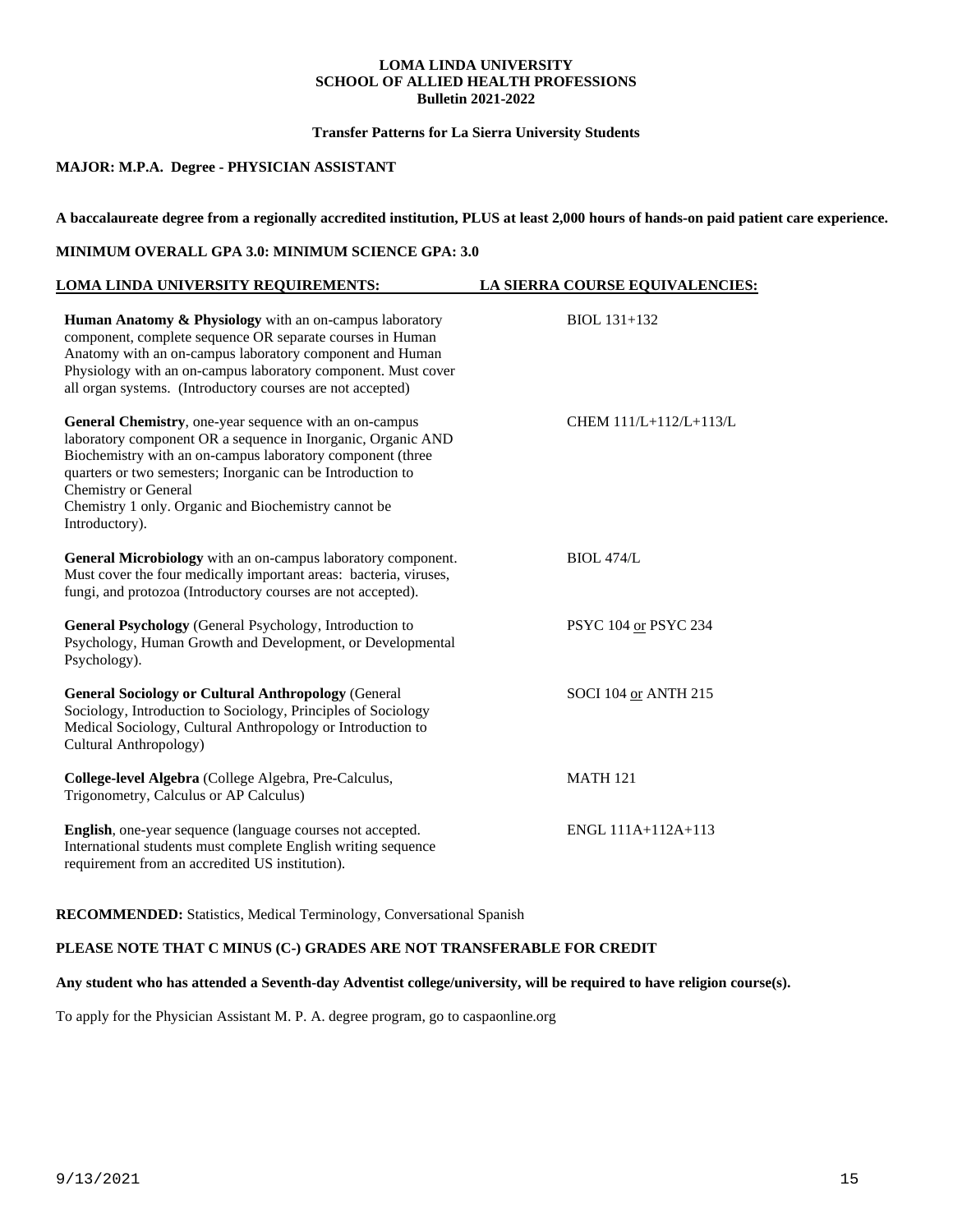### **Transfer Patterns for La Sierra University Students**

### **MAJOR: M.P.A. Degree - PHYSICIAN ASSISTANT**

**A baccalaureate degree from a regionally accredited institution, PLUS at least 2,000 hours of hands-on paid patient care experience.**

### **MINIMUM OVERALL GPA 3.0: MINIMUM SCIENCE GPA: 3.0**

### **LOMA LINDA UNIVERSITY REQUIREMENTS: LA SIERRA COURSE EQUIVALENCIES:**

| <b>Human Anatomy &amp; Physiology</b> with an on-campus laboratory<br>component, complete sequence OR separate courses in Human<br>Anatomy with an on-campus laboratory component and Human<br>Physiology with an on-campus laboratory component. Must cover<br>all organ systems. (Introductory courses are not accepted)                                   | BIOL 131+132           |
|--------------------------------------------------------------------------------------------------------------------------------------------------------------------------------------------------------------------------------------------------------------------------------------------------------------------------------------------------------------|------------------------|
| <b>General Chemistry, one-year sequence with an on-campus</b><br>laboratory component OR a sequence in Inorganic, Organic AND<br>Biochemistry with an on-campus laboratory component (three<br>quarters or two semesters; Inorganic can be Introduction to<br>Chemistry or General<br>Chemistry 1 only. Organic and Biochemistry cannot be<br>Introductory). | CHEM 111/L+112/L+113/L |
| General Microbiology with an on-campus laboratory component.<br>Must cover the four medically important areas: bacteria, viruses,<br>fungi, and protozoa (Introductory courses are not accepted).                                                                                                                                                            | <b>BIOL 474/L</b>      |
| General Psychology (General Psychology, Introduction to<br>Psychology, Human Growth and Development, or Developmental<br>Psychology).                                                                                                                                                                                                                        | PSYC 104 or PSYC 234   |
| <b>General Sociology or Cultural Anthropology (General</b><br>Sociology, Introduction to Sociology, Principles of Sociology<br>Medical Sociology, Cultural Anthropology or Introduction to<br>Cultural Anthropology)                                                                                                                                         | SOCI 104 or ANTH 215   |
| College-level Algebra (College Algebra, Pre-Calculus,<br>Trigonometry, Calculus or AP Calculus)                                                                                                                                                                                                                                                              | <b>MATH 121</b>        |
| <b>English</b> , one-year sequence (language courses not accepted.<br>International students must complete English writing sequence<br>requirement from an accredited US institution).                                                                                                                                                                       | ENGL 111A+112A+113     |

**RECOMMENDED:** Statistics, Medical Terminology, Conversational Spanish

### **PLEASE NOTE THAT C MINUS (C-) GRADES ARE NOT TRANSFERABLE FOR CREDIT**

#### **Any student who has attended a Seventh-day Adventist college/university, will be required to have religion course(s).**

To apply for the Physician Assistant M. P. A. degree program, go to caspaonline.org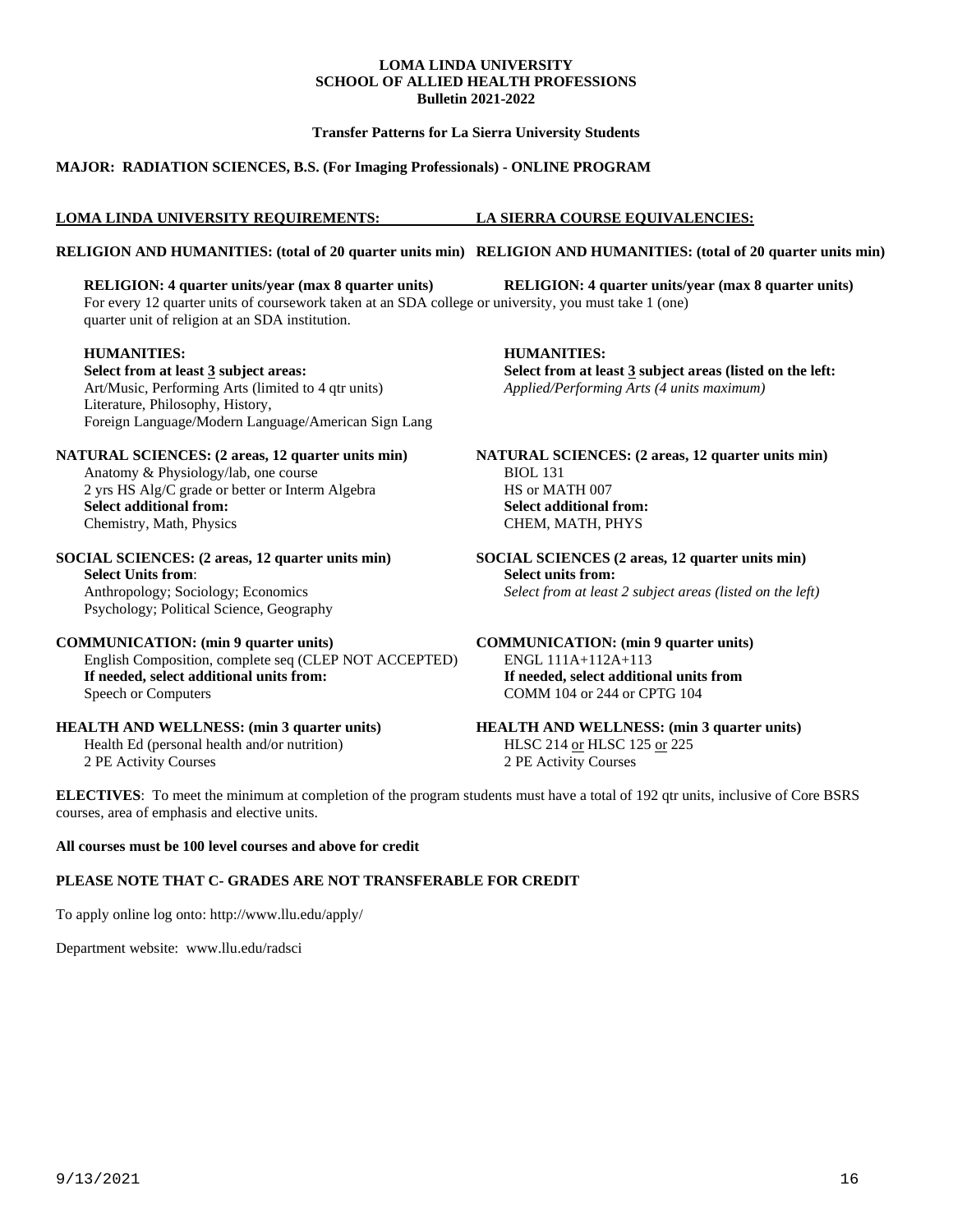#### **Transfer Patterns for La Sierra University Students**

### **MAJOR: RADIATION SCIENCES, B.S. (For Imaging Professionals) - ONLINE PROGRAM**

### **LOMA LINDA UNIVERSITY REQUIREMENTS: LA SIERRA COURSE EQUIVALENCIES:**

#### **RELIGION AND HUMANITIES: (total of 20 quarter units min) RELIGION AND HUMANITIES: (total of 20 quarter units min)**

### **RELIGION: 4 quarter units/year (max 8 quarter units) RELIGION: 4 quarter units/year (max 8 quarter units)**

For every 12 quarter units of coursework taken at an SDA college or university, you must take 1 (one) quarter unit of religion at an SDA institution.

#### **Select from at least 3 subject areas: Select from at least 3 subject areas (listed on the left:** Art/Music, Performing Arts (limited to 4 qtr units) *Applied/Performing Arts (4 units maximum)* Art/Music, Performing Arts (limited to 4 qtr units) Literature, Philosophy, History,

Foreign Language/Modern Language/American Sign Lang

Anatomy & Physiology/lab, one course BIOL 131 2 yrs HS Alg/C grade or better or Interm Algebra HS or MATH 007 **Select additional from:**<br> **Select additional from:**<br> **Select additional from:**<br> **Select additional from:**<br> **Select additional from:** Chemistry, Math, Physics

**Select Units from**: **Select units from:** Psychology; Political Science, Geography

English Composition, complete seq (CLEP NOT ACCEPTED) ENGL 111A+112A+113<br> **If needed, select additional units from: If needed, select additional units from If needed, select additional units from: If needed, select additional units from** Speech or Computers COMM 104 or 244 or CPTG 104

Health Ed (personal health and/or nutrition)<br>2 PE Activity Courses

**HUMANITIES: HUMANITIES:** 

**NATURAL SCIENCES: (2 areas, 12 quarter units min) NATURAL SCIENCES: (2 areas, 12 quarter units min)**

**SOCIAL SCIENCES: (2 areas, 12 quarter units min) SOCIAL SCIENCES (2 areas, 12 quarter units min)**  Anthropology; Sociology; Economics *Select from at least 2 subject areas (listed on the left)*

**COMMUNICATION: (min 9 quarter units)**<br>
English Composition, complete seq (CLEP NOT ACCEPTED) ENGL 111A+112A+113

### **HEALTH AND WELLNESS: (min 3 quarter units)**<br>HEALTH AND WELLNESS: (min 3 quarter units)<br>HESC 214 <u>or</u> HLSC 125 or 225 2 PE Activity Courses 2 PE Activity Courses

**ELECTIVES**: To meet the minimum at completion of the program students must have a total of 192 qtr units, inclusive of Core BSRS courses, area of emphasis and elective units.

### **All courses must be 100 level courses and above for credit**

### **PLEASE NOTE THAT C- GRADES ARE NOT TRANSFERABLE FOR CREDIT**

To apply online log onto:<http://www.llu.edu/apply/>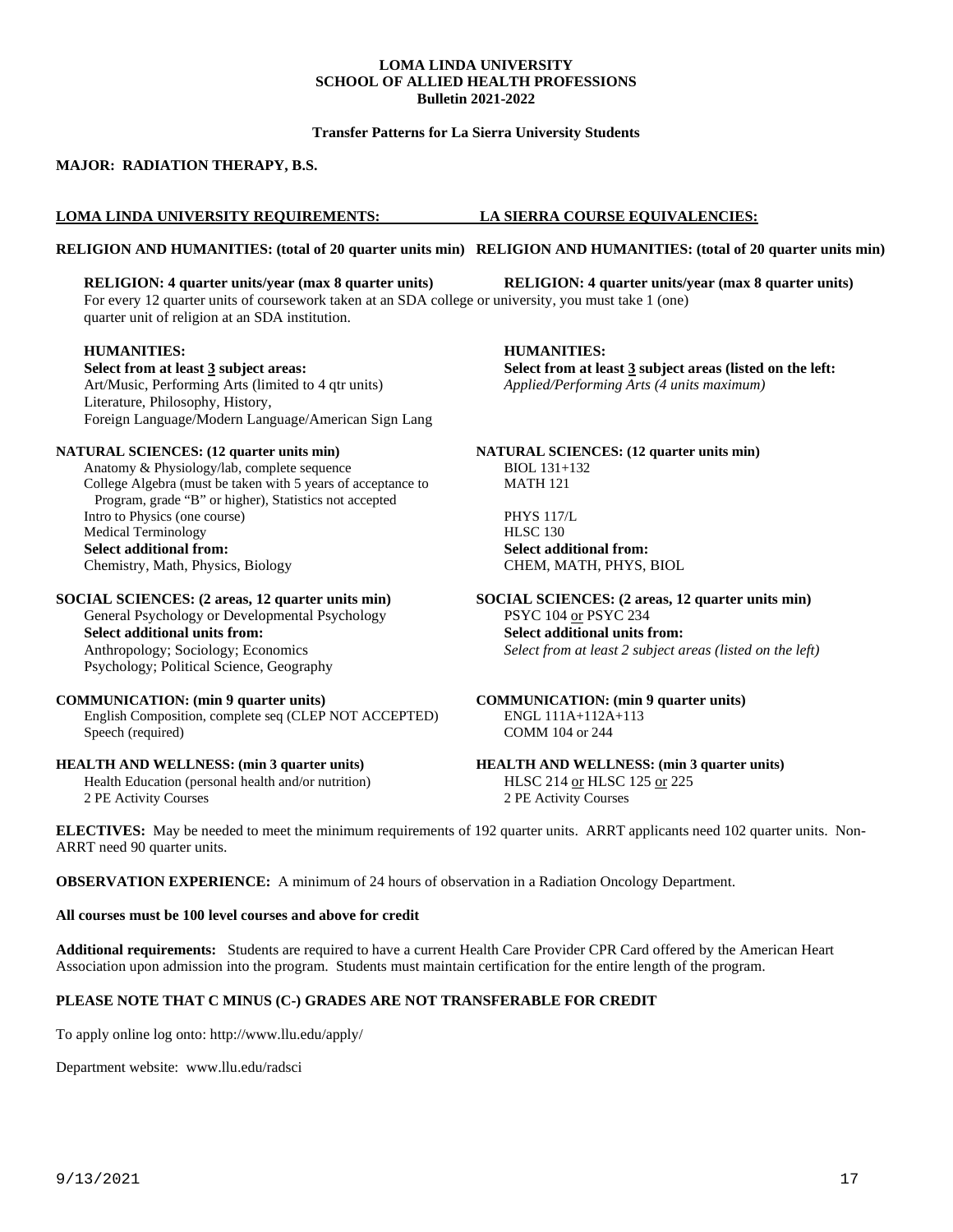**Transfer Patterns for La Sierra University Students**

### **MAJOR: RADIATION THERAPY, B.S.**

#### **LOMA LINDA UNIVERSITY REQUIREMENTS: LA SIERRA COURSE EQUIVALENCIES:**

### **RELIGION AND HUMANITIES: (total of 20 quarter units min) RELIGION AND HUMANITIES: (total of 20 quarter units min)**

#### **RELIGION: 4 quarter units/year (max 8 quarter units) RELIGION: 4 quarter units/year (max 8 quarter units)**

For every 12 quarter units of coursework taken at an SDA college or university, you must take 1 (one) quarter unit of religion at an SDA institution.

**HUMANITIES:**<br> **HUMANITIES:**<br> **Select from at least 3 subject areas:**<br> **Select from at least 3 subject areas:** Art/Music, Performing Arts (limited to 4 qtr units) *Applied/Performing Arts (4 units maximum)* Literature, Philosophy, History, Foreign Language/Modern Language/American Sign Lang

Anatomy & Physiology/lab, complete sequence BIOL 131+132 College Algebra (must be taken with 5 years of acceptance to MATH 121 Program, grade "B" or higher), Statistics not accepted Intro to Physics (one course) PHYS 117/L<br>
Medical Terminology<br>
HLSC 130 Medical Terminology **Select additional from: Select additional from:**  Chemistry, Math, Physics, Biology CHEM, MATH, PHYS, BIOL

General Psychology or Developmental Psychology **Select additional units from:**<br> **Select additional units from:**<br> **Select from at least 2 subject a**<br> **Select from at least 2 subject a** Psychology; Political Science, Geography

English Composition, complete seq (CLEP NOT ACCEPTED) Speech (required) COMM 104 or 244

Health Education (personal health and/or nutrition) HLSC 214 or HLSC 125 or 225 2 PE Activity Courses 2 PE Activity Courses

**Select from at least 3** subject areas (listed on the left:

**NATURAL SCIENCES: (12 quarter units min) NATURAL SCIENCES: (12 quarter units min)**

**SOCIAL SCIENCES: (2 areas, 12 quarter units min) SOCIAL SCIENCES: (2 areas, 12 quarter units min)** General Psychology or Developmental Psychology **PSYC 104 or PSYC 234** Select from at least 2 subject areas (listed on the left)

**COMMUNICATION: (min 9 quarter units)**<br> **COMMUNICATION: (min 9 quarter units)**<br> **COMMUNICATION: (min 9 quarter units)**<br> **COMMUNICATION: (min 9 quarter units)** 

# **HEALTH AND WELLNESS: (min 3 quarter units) HEALTH AND WELLNESS: (min 3 quarter units)**

**ELECTIVES:** May be needed to meet the minimum requirements of 192 quarter units. ARRT applicants need 102 quarter units. Non-ARRT need 90 quarter units.

**OBSERVATION EXPERIENCE:** A minimum of 24 hours of observation in a Radiation Oncology Department.

#### **All courses must be 100 level courses and above for credit**

**Additional requirements:** Students are required to have a current Health Care Provider CPR Card offered by the American Heart Association upon admission into the program. Students must maintain certification for the entire length of the program.

### **PLEASE NOTE THAT C MINUS (C-) GRADES ARE NOT TRANSFERABLE FOR CREDIT**

To apply online log onto:<http://www.llu.edu/apply/>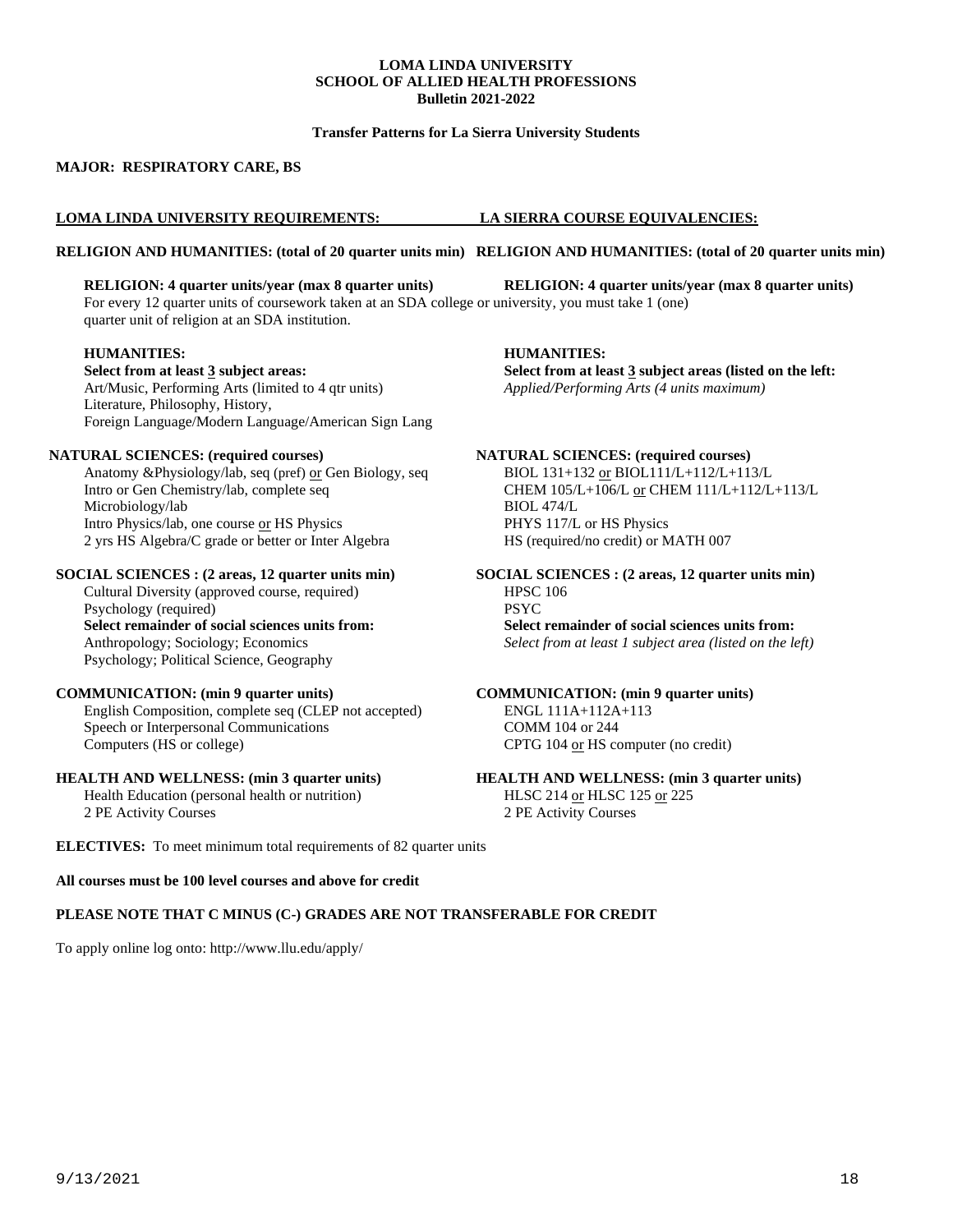**Transfer Patterns for La Sierra University Students**

### **MAJOR: RESPIRATORY CARE, BS**

### **LOMA LINDA UNIVERSITY REQUIREMENTS: LA SIERRA COURSE EQUIVALENCIES:**

#### **RELIGION AND HUMANITIES: (total of 20 quarter units min) RELIGION AND HUMANITIES: (total of 20 quarter units min)**

#### **RELIGION: 4 quarter units/year (max 8 quarter units) RELIGION: 4 quarter units/year (max 8 quarter units)**

For every 12 quarter units of coursework taken at an SDA college or university, you must take 1 (one) quarter unit of religion at an SDA institution.

Art/Music, Performing Arts (limited to 4 qtr units) Literature, Philosophy, History, Foreign Language/Modern Language/American Sign Lang

#### **NATURAL SCIENCES: (required courses) NATURAL SCIENCES: (required courses)**

Anatomy &Physiology/lab, seq (pref) <u>or</u> Gen Biology, seq BIOL 131+132 <u>or</u> BIOL111/L+112/L+113/L<br>CHEM 105/L+106/L or CHEM 111/L+112/L Microbiology/lab BIOL 474/L Intro Physics/lab, one course <u>or</u> HS Physics<br>
2 yrs HS Algebra/C grade or better or Inter Algebra<br>
PHYS 117/L or HS Physics<br>
HS (required/no credit) or MATH 007 2 yrs HS Algebra/C grade or better or Inter Algebra

Cultural Diversity (approved course, required) HPSC 106<br>Psychology (required) PSYC **Select remainder of social sciences units from: Select remainder of social sciences units from:** Psychology; Political Science, Geography

#### **COMMUNICATION: (min 9 quarter units) COMMUNICATION: (min 9 quarter units)**

English Composition, complete seq (CLEP not accepted) ENGL 111A+112A+113<br>Speech or Interpersonal Communications COMM 104 or 244 Speech or Interpersonal Communications<br>Computers (HS or college)

Health Education (personal health or nutrition) HLSC 214 or HLSC 125 or 225 2 PE Activity Courses 2 PE Activity Courses

**HUMANITIES: HUMANITIES: Select from at least 3 subject areas: Select from at least 3 subject areas (listed on the left:** Art/Music, Performing Arts (limited to 4 qtr units) *Applied/Performing Arts (4 units maximum)* 

# CHEM 105/L+106/L or CHEM 111/L+112/L+113/L

**SOCIAL SCIENCES : (2 areas, 12 quarter units min) SOCIAL SCIENCES : (2 areas, 12 quarter units min)** Psychology (required)<br> **PSYC**<br> **Select remainder of social sciences units from:**<br> **Select remainder of social sciences units from:**<br> **Select remainder of social sciences units from:** Select from at least 1 subject area (listed on the left)

CPTG 104 or HS computer (no credit)

# **HEALTH AND WELLNESS: (min 3 quarter units) HEALTH AND WELLNESS: (min 3 quarter units)**

**ELECTIVES:** To meet minimum total requirements of 82 quarter units

### **All courses must be 100 level courses and above for credit**

### **PLEASE NOTE THAT C MINUS (C-) GRADES ARE NOT TRANSFERABLE FOR CREDIT**